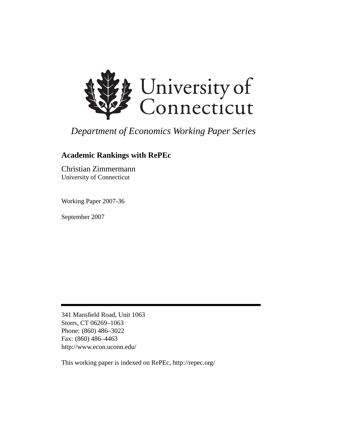

# *Department of Economics Working Paper Series*

# **Academic Rankings with RePEc**

Christian Zimmermann University of Connecticut

Working Paper 2007-36

September 2007

341 Mansfield Road, Unit 1063 Storrs, CT 06269–1063 Phone: (860) 486–3022 Fax: (860) 486–4463 http://www.econ.uconn.edu/

This working paper is indexed on RePEc, http://repec.org/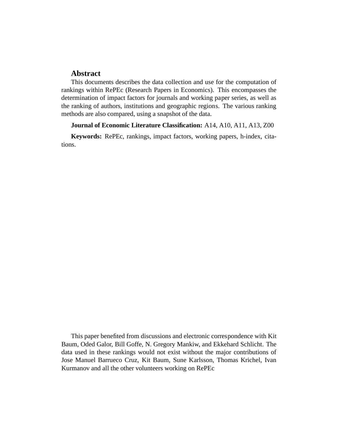### **Abstract**

This documents describes the data collection and use for the computation of rankings within RePEc (Research Papers in Economics). This encompasses the determination of impact factors for journals and working paper series, as well as the ranking of authors, institutions and geographic regions. The various ranking methods are also compared, using a snapshot of the data.

#### **Journal of Economic Literature Classification:** A14, A10, A11, A13, Z00

**Keywords:** RePEc, rankings, impact factors, working papers, h-index, citations.

This paper benefited from discussions and electronic correspondence with Kit Baum, Oded Galor, Bill Goffe, N. Gregory Mankiw, and Ekkehard Schlicht. The data used in these rankings would not exist without the major contributions of Jose Manuel Barrueco Cruz, Kit Baum, Sune Karlsson, Thomas Krichel, Ivan Kurmanov and all the other volunteers working on RePEc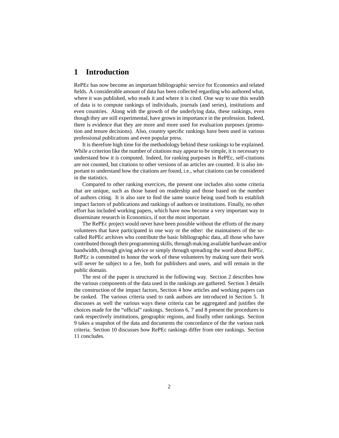### **1 Introduction**

RePEc has now become an important bibliographic service for Economics and related fields. A considerable amount of data has been collected regarding who authored what, where it was published, who reads it and where it is cited. One way to use this wealth of data is to compute rankings of individuals, journals (and series), institutions and even countries. Along with the growth of the underlying data, these rankings, even though they are still experimental, have grown in importance in the profession. Indeed, there is evidence that they are more and more used for evaluation purposes (promotion and tenure decisions). Also, country specific rankings have been used in various professional publications and even popular press.

It is therefore high time for the methodology behind these rankings to be explained. While a criterion like the number of citations may appear to be simple, it is necessary to understand how it is computed. Indeed, for ranking purposes in RePEc, self-citations are not counted, but citations to other versions of an articles are counted. It is also important to understand how the citations are found, i.e., what citations can be considered in the statistics.

Compared to other ranking exercices, the present one includes also some criteria that are unique, such as those based on readership and those based on the number of authors citing. It is also rare to find the same source being used both to establish impact factors of publications and rankings of authors or institutions. Finally, no other effort has included working papers, which have now become a very important way to disseminate research in Economics, if not the most important.

The RePEc project would never have been possible without the efforts of the many volunteers that have participated in one way or the other: the maintainers of the socalled RePEc archives who contribute the basic bibliographic data, all those who have contributed through their programming skills, through making available hardware and/or bandwidth, through giving advice or simply through spreading the word about RePEc. RePEc is committed to honor the work of these volunteers by making sure their work will never be subject to a fee, both for publishers and users, and will remain in the public domain.

The rest of the paper is structured in the following way. Section 2 describes how the various components of the data used in the rankings are gathered. Section 3 details the construction of the impact factors, Section 4 how articles and working papers can be ranked. The various criteria used to rank authors are introduced in Section 5. It discusses as well the various ways these criteria can be aggregated and justifies the choices made for the "official" rankings. Sections 6, 7 and 8 present the procedures to rank respectively institutions, geographic regions, and finally other rankings. Section 9 takes a snapshot of the data and documents the concordance of the the various rank criteria. Section 10 discusses how RePEc rankings differ from oter rankings. Section 11 concludes.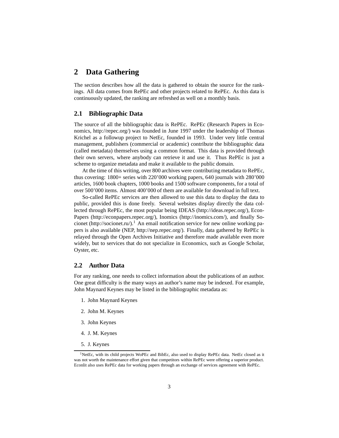### **2 Data Gathering**

The section describes how all the data is gathered to obtain the source for the rankings. All data comes from RePEc and other projects related to RePEc. As this data is continuously updated, the ranking are refreshed as well on a monthly basis.

#### **2.1 Bibliographic Data**

The source of all the bibliographic data is RePEc. RePEc (Research Papers in Economics, http://repec.org/) was founded in June 1997 under the leadership of Thomas Krichel as a followup project to NetEc, founded in 1993. Under very little central management, publishers (commercial or academic) contribute the bibliographic data (called metadata) themselves using a common format. This data is provided through their own servers, where anybody can retrieve it and use it. Thus RePEc is just a scheme to organize metadata and make it available to the public domain.

At the time of this writing, over 800 archives were contributing metadata to RePEc, thus covering: 1800+ series with 220'000 working papers, 640 journals with 280'000 articles, 1600 book chapters, 1000 books and 1500 software components, for a total of over 500'000 items. Almost 400'000 of them are available for download in full text.

So-called RePEc services are then allowed to use this data to display the data to public, provided this is done freely. Several websites display directly the data collected through RePEc, the most popular being IDEAS (http://ideas.repec.org/), Econ-Papers (http://econpapers.repec.org/), Inomics (http://inomics.com/), and finally Socionet (http://socionet.ru/).<sup>1</sup> An email notification service for new online working papers is also available (NEP, http://nep.repec.org/). Finally, data gathered by RePEc is relayed through the Open Archives Initiative and therefore made available even more widely, but to services that do not specialize in Economics, such as Google Scholar, Oyster, etc.

#### **2.2 Author Data**

For any ranking, one needs to collect information about the publications of an author. One great difficulty is the many ways an author's name may be indexed. For example, John Maynard Keynes may be listed in the bibliographic metadata as:

- 1. John Maynard Keynes
- 2. John M. Keynes
- 3. John Keynes
- 4. J. M. Keynes
- 5. J. Keynes

<sup>&</sup>lt;sup>1</sup>NetEc, with its child projects WoPEc and BibEc, also used to display RePEc data. NetEc closed as it was not worth the maintenance effort given that competitors within RePEc were offering a superior product. Econlit also uses RePEc data for working papers through an exchange of services agreement with RePEc.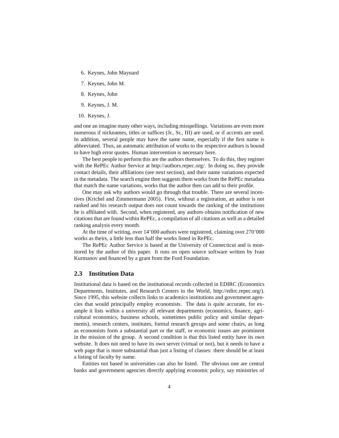- 6. Keynes, John Maynard
- 7. Keynes, John M.
- 8. Keynes, John
- 9. Keynes, J. M.
- 10. Keynes, J.

and one an imagine many other ways, including misspellings. Variations are even more numerous if nicknames, titles or suffices (Jr., Sr., III) are used, or if accents are used. In addition, several people may have the same name, especially if the first name is abbreviated. Thus, an automatic attribution of works to the respective authors is bound to have high error quotes. Human intervention is necessary here.

The best people to perform this are the authors themselves. To do this, they register with the RePEc Author Service at http://authors.repec.org/. In doing so, they provide contact details, their affiliations (see next section), and their name variations expected in the metadata. The search engine then suggests them works from the RePEc metadata that match the name variations, works that the author then can add to their profile.

One may ask why authors would go through that trouble. There are several incentives (Krichel and Zimmermann 2005). First, without a registration, an author is not ranked and his research output does not count towards the ranking of the institutions he is affiliated with. Second, when registered, any authors obtains notification of new citations that are found within RePEc, a compilation of all citations as well as a detailed ranking analysis every month.

At the time of writing, over 14'000 authors were registered, claiming over 270'000 works as theirs, a little less than half the works listed in RePEc.

The RePEc Author Service is based at the University of Connecticut and is monitored by the author of this paper. It runs on open source software written by Ivan Kurmanov and financed by a grant from the Ford Foundation.

#### **2.3 Institution Data**

Institutional data is based on the institutional records collected in EDIRC (Economics Departments, Institutes, and Research Centers in the World, http://edirc.repec.org/). Since 1995, this website collects links to academics institutions and government agencies that would principally employ economists. The data is quite accurate, for example it lists within a university all relevant departments (economics, finance, agricultural economics, business schools, sometimes public policy and similar departments), research centers, institutes, formal research groups and some chairs, as long as economists form a substantial part or the staff, or economic issues are prominent in the mission of the group. A second condition is that this listed entity have its own website. It does not need to have its own server (virtual or not), but it needs to have a web page that is more substantial than just a listing of classes: there should be at least a listing of faculty by name.

Entities not based in universities can also be listed. The obvious one are central banks and government agencies directly applying economic policy, say ministries of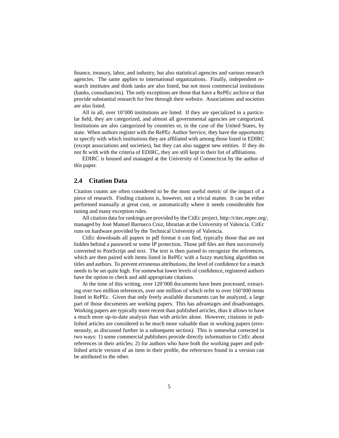finance, treasury, labor, and industry, but also statistical agencies and various research agencies. The same applies to international organizations. Finally, independent research institutes and think tanks are also listed, but not most commercial institutions (banks, consultancies). The only exceptions are those that have a RePEc archive or that provide substantial research for free through their website. Associations and societies are also listed.

All in all, over 10'000 institutions are listed. If they are specialized in a particular field, they are categorized, and almost all governmental agencies are categorized. Institutions are also categorized by countries or, in the case of the United States, by state. When authors register with the RePEc Author Service, they have the opportunity to specify with which institutions they are affiliated with among those listed in EDIRC (except associations and societies), but they can also suggest new entities. If they do not fit with with the criteria of EDIRC, they are still kept in their list of affiliations.

EDIRC is housed and managed at the University of Connecticut by the author of this paper.

#### **2.4 Citation Data**

Citation counts are often considered to be the most useful metric of the impact of a piece of research. Finding citations is, however, not a trivial matter. It can be either performed manually at great cost, or automatically where it needs considerable fine tuning and many exception rules.

All citation data for rankings are provided by the CitEc project, http://citec.repec.org/, managed by José Manuel Barrueco Cruz, librarian at the University of Valencia. CitEc runs on hardware provided by the Technical University of Valencia.

CitEc downloads all papers in pdf format it can find, typically those that are not hidden behind a password or some IP protection. Those pdf files are then successively converted to PostScript and text. The text is then parsed to recognize the references, which are then paired with items listed in RePEc with a fuzzy matching algorithm on titles and authors. To prevent erroneous attributions, the level of confidence for a match needs to be set quite high. For somewhat lower levels of confidence, registered authors have the option to check and add appropriate citations.

At the time of this writing, over 120'000 documents have been processed, extracting over two million references, over one million of which refer to over 160'000 items listed in RePEc. Given that only freely available documents can be analyzed, a large part of those documents are working papers. This has advantages and disadvantages. Working papers are typically more recent than published articles, thus it allows to have a much more up-to-date analysis than with articles alone. However, citations in published articles are considered to be much more valuable than in working papers (erroneously, as discussed further in a subsequent section). This is somewhat corrected in two ways: 1) some commercial publishers provide directly information to CitEc about references in their articles; 2) for authors who have both the working paper and published article version of an item in their profile, the references found in a version can be attributed to the other.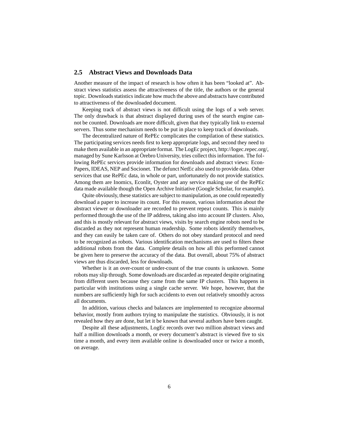#### **2.5 Abstract Views and Downloads Data**

Another measure of the impact of research is how often it has been "looked at". Abstract views statistics assess the attractiveness of the title, the authors or the general topic. Downloads statistics indicate how much the above and abstracts have contributed to attractiveness of the downloaded document.

Keeping track of abstract views is not difficult using the logs of a web server. The only drawback is that abstract displayed during uses of the search engine cannot be counted. Downloads are more difficult, given that they typically link to external servers. Thus some mechanism needs to be put in place to keep track of downloads.

The decentralized nature of RePEc complicates the compilation of these statistics. The participating services needs first to keep appropriate logs, and second they need to make them available in an appropriate format. The LogEc project, http://logec.repec.org/, managed by Sune Karlsson at Örebro University, tries collect this information. The following RePEc services provide information for downloads and abstract views: Econ-Papers, IDEAS, NEP and Socionet. The defunct NetEc also used to provide data. Other services that use RePEc data, in whole or part, unfortunately do not provide statistics. Among them are Inomics, Econlit, Oyster and any service making use of the RePEc data made available though the Open Archive Initiative (Google Scholar, for example).

Quite obviously, these statistics are subject to manipulation, as one could repeatedly download a paper to increase its count. For this reason, various information about the abstract viewer or downloader are recorded to prevent repeat counts. This is mainly performed through the use of the IP address, taking also into account IP clusters. Also, and this is mostly relevant for abstract views, visits by search engine robots need to be discarded as they not represent human readership. Some robots identify themselves, and they can easily be taken care of. Others do not obey standard protocol and need to be recognized as robots. Various identification mechanisms are used to filters these additional robots from the data. Complete details on how all this performed cannot be given here to preserve the accuracy of the data. But overall, about 75% of abstract views are thus discarded, less for downloads.

Whether is it an over-count or under-count of the true counts is unknown. Some robots may slip through. Some downloads are discarded as repeated despite originating from different users because they came from the same IP clusters. This happens in particular with institutions using a single cache server. We hope, however, that the numbers are sufficiently high for such accidents to even out relatively smoothly across all documents.

In addition, various checks and balances are implemented to recognize abnormal behavior, mostly from authors trying to manipulate the statistics. Obviously, it is not revealed how they are done, but let it be known that several authors have been caught.

Despite all these adjustments, LogEc records over two million abstract views and half a million downloads a month, or every document's abstract is viewed five to six time a month, and every item available online is downloaded once or twice a month, on average.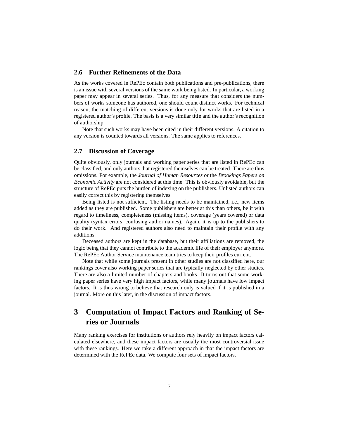#### **2.6 Further Refinements of the Data**

As the works covered in RePEc contain both publications and pre-publications, there is an issue with several versions of the same work being listed. In particular, a working paper may appear in several series. Thus, for any measure that considers the numbers of works someone has authored, one should count distinct works. For technical reason, the matching of different versions is done only for works that are listed in a registered author's profile. The basis is a very similar title and the author's recognition of authorship.

Note that such works may have been cited in their different versions. A citation to any version is counted towards all versions. The same applies to references.

#### **2.7 Discussion of Coverage**

Quite obviously, only journals and working paper series that are listed in RePEc can be classified, and only authors that registered themselves can be treated. There are thus omissions. For example, the *Journal of Human Resources* or the *Brookings Papers on Economic Activity* are not considered at this time. This is obviously avoidable, but the structure of RePEc puts the burden of indexing on the publishers. Unlisted authors can easily correct this by registering themselves.

Being listed is not sufficient. The listing needs to be maintained, i.e., new items added as they are published. Some publishers are better at this than others, be it with regard to timeliness, completeness (missing items), coverage (years covered) or data quality (syntax errors, confusing author names). Again, it is up to the publishers to do their work. And registered authors also need to maintain their profile with any additions.

Deceased authors are kept in the database, but their affiliations are removed, the logic being that they cannot contribute to the academic life of their employer anymore. The RePEc Author Service maintenance team tries to keep their profiles current.

Note that while some journals present in other studies are not classified here, our rankings cover also working paper series that are typically neglected by other studies. There are also a limited number of chapters and books. It turns out that some working paper series have very high impact factors, while many journals have low impact factors. It is thus wrong to believe that research only is valued if it is published in a journal. More on this later, in the discussion of impact factors.

## **3 Computation of Impact Factors and Ranking of Series or Journals**

Many ranking exercises for institutions or authors rely heavily on impact factors calculated elsewhere, and these impact factors are usually the most controversial issue with these rankings. Here we take a different approach in that the impact factors are determined with the RePEc data. We compute four sets of impact factors.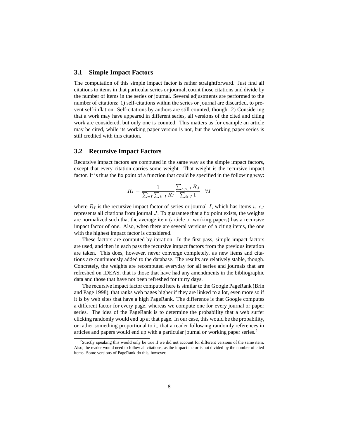#### **3.1 Simple Impact Factors**

The computation of this simple impact factor is rather straightforward. Just find all citations to items in that particular series or journal, count those citations and divide by the number of items in the series or journal. Several adjustments are performed to the number of citations: 1) self-citations within the series or journal are discarded, to prevent self-inflation. Self-citations by authors are still counted, though. 2) Considering that a work may have appeared in different series, all versions of the cited and citing work are considered, but only one is counted. This matters as for example an article may be cited, while its working paper version is not, but the working paper series is still credited with this citation.

#### **3.2 Recursive Impact Factors**

Recursive impact factors are computed in the same way as the simple impact factors, except that every citation carries some weight. That weight is the recursive impact factor. It is thus the fix point of a function that could be specified in the following way:

$$
R_I = \frac{1}{\sum_{\forall I} \sum_{i \in I} R_I} \frac{\sum_{c_J \in I} R_J}{\sum_{i \in I} 1} \quad \forall I
$$

where  $R_I$  is the recursive impact factor of series or journal I, which has items i.  $c_J$ represents all citations from journal J. To guarantee that a fix point exists, the weights are normalized such that the average item (article or working papers) has a recursive impact factor of one. Also, when there are several versions of a citing items, the one with the highest impact factor is considered.

These factors are computed by iteration. In the first pass, simple impact factors are used, and then in each pass the recursive impact factors from the previous iteration are taken. This does, however, never converge completely, as new items and citations are continuously added to the database. The results are relatively stable, though. Concretely, the weights are recomputed everyday for all series and journals that are refreshed on IDEAS, that is those that have had any amendments in the bibliographic data and those that have not been refreshed for thirty days.

The recursive impact factor computed here is similar to the Google PageRank (Brin and Page 1998), that ranks web pages higher if they are linked to a lot, even more so if it is by web sites that have a high PageRank. The difference is that Google computes a different factor for every page, whereas we compute one for every journal or paper series. The idea of the PageRank is to determine the probability that a web surfer clicking randomly would end up at that page. In our case, this would be the probability, or rather something proportional to it, that a reader following randomly references in articles and papers would end up with a particular journal or working paper series.<sup>2</sup>

<sup>&</sup>lt;sup>2</sup>Strictly speaking this would only be true if we did not account for different versions of the same item. Also, the reader would need to follow all citations, as the impact factor is not divided by the number of cited items. Some versions of PageRank do this, however.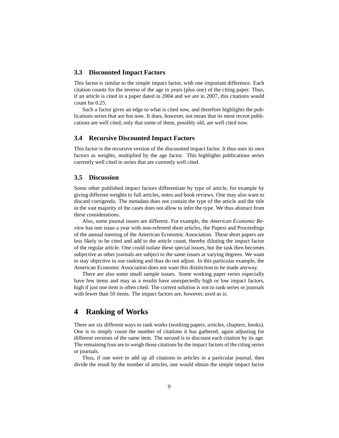#### **3.3 Discounted Impact Factors**

This factor is similar to the simple impact factor, with one important difference. Each citation counts for the inverse of the age in years (plus one) of the citing paper. Thus, if an article is cited in a paper dated in 2004 and we are in 2007, this citations would count for 0.25.

Such a factor gives an edge to what is cited now, and therefore highlights the publications series that are hot now. It does, however, not mean that its most recent publications are well cited, only that some of them, possibly old, are well cited now.

#### **3.4 Recursive Discounted Impact Factors**

This factor is the recursive version of the discounted impact factor. It thus uses its own factors as weights, multiplied by the age factor. This highlights publications series currently well cited in series that are currently well cited.

#### **3.5 Discussion**

Some other published impact factors differentiate by type of article, for example by giving different weights to full articles, notes and book reviews. One may also want to discard corrigenda. The metadata does not contain the type of the article and the title in the vast majority of the cases does not allow to infer the type. We thus abstract from these considerations.

Also, some journal issues are different. For example, the *American Economic Review* has one issue a year with non-refereed short articles, the Papers and Proceedings of the annual meeting of the American Economic Association. These short papers are less likely to be cited and add to the article count, thereby diluting the impact factor of the regular article. One could isolate these special issues, but the task then becomes subjective as other journals are subject to the same issues at varying degrees. We want to stay objective in our ranking and thus do not adjust. In this particular example, the American Economic Association does not want this distinction to be made anyway.

There are also some small sample issues. Some working paper series especially have few items and may as a results have unexpectedly high or low impact factors, high if just one item is often cited. The current solution is not to rank series or journals with fewer than 50 items. The impact factors are, however, used as is.

### **4 Ranking of Works**

There are six different ways to rank works (working papers, articles, chapters, books). One is to simply count the number of citations it has gathered, again adjusting for different versions of the same item. The second is to discount each citation by its age. The remaining four are to weigh those citations by the impact factors of the citing series or journals.

Thus, if one were to add up all citations to articles in a particular journal, then divide the result by the number of articles, one would obtain the simple impact factor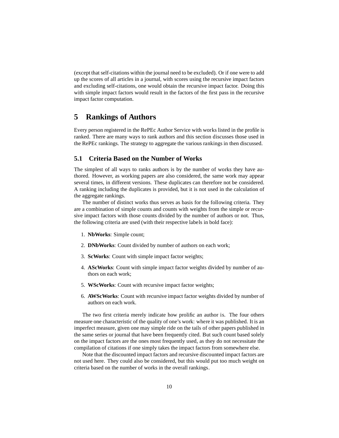(except that self-citations within the journal need to be excluded). Or if one were to add up the scores of all articles in a journal, with scores using the recursive impact factors and excluding self-citations, one would obtain the recursive impact factor. Doing this with simple impact factors would result in the factors of the first pass in the recursive impact factor computation.

### **5 Rankings of Authors**

Every person registered in the RePEc Author Service with works listed in the profile is ranked. There are many ways to rank authors and this section discusses those used in the RePEc rankings. The strategy to aggregate the various rankings in then discussed.

#### **5.1 Criteria Based on the Number of Works**

The simplest of all ways to ranks authors is by the number of works they have authored. However, as working papers are also considered, the same work may appear several times, in different versions. These duplicates can therefore not be considered. A ranking including the duplicates is provided, but it is not used in the calculation of the aggregate rankings.

The number of distinct works thus serves as basis for the following criteria. They are a combination of simple counts and counts with weights from the simple or recursive impact factors with those counts divided by the number of authors or not. Thus, the following criteria are used (with their respective labels in bold face):

- 1. **NbWorks**: Simple count;
- 2. **DNbWorks**: Count divided by number of authors on each work;
- 3. **ScWorks**: Count with simple impact factor weights;
- 4. **AScWorks**: Count with simple impact factor weights divided by number of authors on each work;
- 5. **WScWorks**: Count with recursive impact factor weights;
- 6. **AWScWorks**: Count with recursive impact factor weights divided by number of authors on each work.

The two first criteria merely indicate how prolific an author is. The four others measure one characteristic of the quality of one's work: where it was published. It is an imperfect measure, given one may simple ride on the tails of other papers published in the same series or journal that have been frequently cited. But such count based solely on the impact factors are the ones most frequently used, as they do not necessitate the compilation of citations if one simply takes the impact factors from somewhere else.

Note that the discounted impact factors and recursive discounted impact factors are not used here. They could also be considered, but this would put too much weight on criteria based on the number of works in the overall rankings.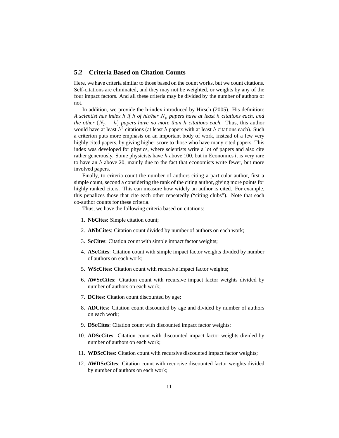#### **5.2 Criteria Based on Citation Counts**

Here, we have criteria similar to those based on the count works, but we count citations. Self-citations are eliminated, and they may not be weighted, or weights by any of the four impact factors. And all these criteria may be divided by the number of authors or not.

In addition, we provide the h-index introduced by Hirsch (2005). His definition: *A* scientist has index h if h of his/her  $N_p$  papers have at least h citations each, and *the other*  $(N_p - h)$  *papers have no more than* h *citations each*. Thus, this author would have at least  $\hat{h}^2$  citations (at least h papers with at least h citations each). Such a criterion puts more emphasis on an important body of work, instead of a few very highly cited papers, by giving higher score to those who have many cited papers. This index was developed for physics, where scientists write a lot of papers and also cite rather generously. Some physicists have h above 100, but in Economics it is very rare to have an  $h$  above 20, mainly due to the fact that economists write fewer, but more involved papers.

Finally, to criteria count the number of authors citing a particular author, first a simple count, second a considering the rank of the citing author, giving more points for highly ranked citers. This can measure how widely an author is cited. For example, this penalizes those that cite each other repeatedly ("citing clubs"). Note that each co-author counts for these criteria.

Thus, we have the following criteria based on citations:

- 1. **NbCites**: Simple citation count;
- 2. **ANbCites**: Citation count divided by number of authors on each work;
- 3. **ScCites**: Citation count with simple impact factor weights;
- 4. **AScCites**: Citation count with simple impact factor weights divided by number of authors on each work;
- 5. **WScCites**: Citation count with recursive impact factor weights;
- 6. **AWScCites**: Citation count with recursive impact factor weights divided by number of authors on each work;
- 7. **DCites**: Citation count discounted by age;
- 8. **ADCites**: Citation count discounted by age and divided by number of authors on each work;
- 9. **DScCites**: Citation count with discounted impact factor weights;
- 10. **ADScCites**: Citation count with discounted impact factor weights divided by number of authors on each work;
- 11. **WDScCites**: Citation count with recursive discounted impact factor weights;
- 12. **AWDScCites**: Citation count with recursive discounted factor weights divided by number of authors on each work;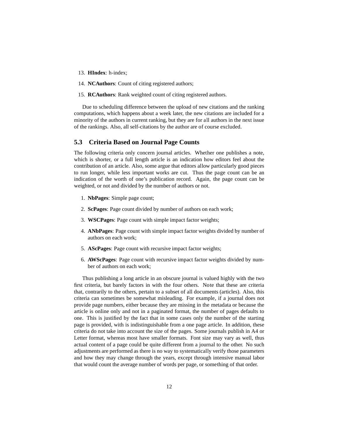- 13. **HIndex**: h-index;
- 14. **NCAuthors**: Count of citing registered authors;
- 15. **RCAuthors**: Rank weighted count of citing registered authors.

Due to scheduling difference between the upload of new citations and the ranking computations, which happens about a week later, the new citations are included for a minority of the authors in current ranking, but they are for all authors in the next issue of the rankings. Also, all self-citations by the author are of course excluded.

#### **5.3 Criteria Based on Journal Page Counts**

The following criteria only concern journal articles. Whether one publishes a note, which is shorter, or a full length article is an indication how editors feel about the contribution of an article. Also, some argue that editors allow particularly good pieces to run longer, while less important works are cut. Thus the page count can be an indication of the worth of one's publication record. Again, the page count can be weighted, or not and divided by the number of authors or not.

- 1. **NbPages**: Simple page count;
- 2. **ScPages**: Page count divided by number of authors on each work;
- 3. **WSCPages**: Page count with simple impact factor weights;
- 4. **ANbPages**: Page count with simple impact factor weights divided by number of authors on each work;
- 5. **AScPages**: Page count with recursive impact factor weights;
- 6. **AWScPages**: Page count with recursive impact factor weights divided by number of authors on each work;

Thus publishing a long article in an obscure journal is valued highly with the two first criteria, but barely factors in with the four others. Note that these are criteria that, contrarily to the others, pertain to a subset of all documents (articles). Also, this criteria can sometimes be somewhat misleading. For example, if a journal does not provide page numbers, either because they are missing in the metadata or because the article is online only and not in a paginated format, the number of pages defaults to one. This is justified by the fact that in some cases only the number of the starting page is provided, with is indistinguishable from a one page article. In addition, these criteria do not take into account the size of the pages. Some journals publish in A4 or Letter format, whereas most have smaller formats. Font size may vary as well, thus actual content of a page could be quite different from a journal to the other. No such adjustments are performed as there is no way to systematically verify those parameters and how they may change through the years, except through intensive manual labor that would count the average number of words per page, or something of that order.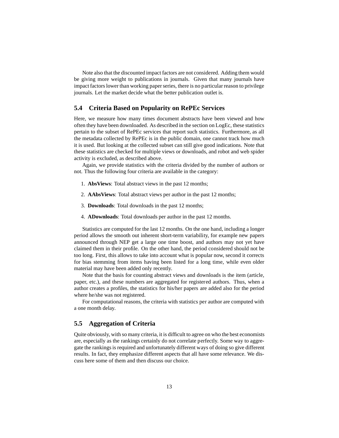Note also that the discounted impact factors are not considered. Adding them would be giving more weight to publications in journals. Given that many journals have impact factors lower than working paper series, there is no particular reason to privilege journals. Let the market decide what the better publication outlet is.

#### **5.4 Criteria Based on Popularity on RePEc Services**

Here, we measure how many times document abstracts have been viewed and how often they have been downloaded. As described in the section on LogEc, these statistics pertain to the subset of RePEc services that report such statistics. Furthermore, as all the metadata collected by RePEc is in the public domain, one cannot track how much it is used. But looking at the collected subset can still give good indications. Note that these statistics are checked for multiple views or downloads, and robot and web spider activity is excluded, as described above.

Again, we provide statistics with the criteria divided by the number of authors or not. Thus the following four criteria are available in the category:

- 1. **AbsViews**: Total abstract views in the past 12 months;
- 2. **AAbsViews**: Total abstract views per author in the past 12 months;
- 3. **Downloads**: Total downloads in the past 12 months;
- 4. **ADownloads**: Total downloads per author in the past 12 months.

Statistics are computed for the last 12 months. On the one hand, including a longer period allows the smooth out inherent short-term variability, for example new papers announced through NEP get a large one time boost, and authors may not yet have claimed them in their profile. On the other hand, the period considered should not be too long. First, this allows to take into account what is popular now, second it corrects for bias stemming from items having been listed for a long time, while even older material may have been added only recently.

Note that the basis for counting abstract views and downloads is the item (article, paper, etc.), and these numbers are aggregated for registered authors. Thus, when a author creates a profiles, the statistics for his/her papers are added also for the period where he/she was not registered.

For computational reasons, the criteria with statistics per author are computed with a one month delay.

#### **5.5 Aggregation of Criteria**

Quite obviously, with so many criteria, it is difficult to agree on who the best economists are, especially as the rankings certainly do not correlate perfectly. Some way to aggregate the rankings is required and unfortunately different ways of doing so give different results. In fact, they emphasize different aspects that all have some relevance. We discuss here some of them and then discuss our choice.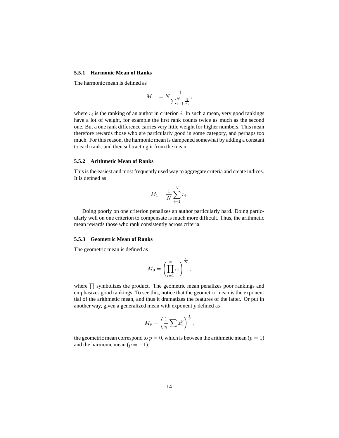#### **5.5.1 Harmonic Mean of Ranks**

The harmonic mean is defined as

$$
M_{-1} = N \frac{1}{\sum_{i=1}^{N} \frac{1}{r_i}},
$$

where  $r_i$  is the ranking of an author in criterion i. In such a mean, very good rankings have a lot of weight, for example the first rank counts twice as much as the second one. But a one rank difference carries very little weight for higher numbers. This mean therefore rewards those who are particularly good in some category, and perhaps too much. For this reason, the harmonic mean is dampened somewhat by adding a constant to each rank, and then subtracting it from the mean.

#### **5.5.2 Arithmetic Mean of Ranks**

This is the easiest and most frequently used way to aggregate criteria and create indices. It is defined as

$$
M_1 = \frac{1}{N} \sum_{i=1}^{N} r_i.
$$

Doing poorly on one criterion penalizes an author particularly hard. Doing particularly well on one criterion to compensate is much more difficult. Thus, the arithmetic mean rewards those who rank consistently across criteria.

#### **5.5.3 Geometric Mean of Ranks**

The geometric mean is defined as

$$
M_0 = \left(\prod_{i=1}^N r_i\right)^{\frac{1}{N}},
$$

where  $\prod$  symbolizes the product. The geometric mean penalizes poor rankings and emphasizes good rankings. To see this, notice that the geometric mean is the exponential of the arithmetic mean, and thus it dramatizes the features of the latter. Or put in another way, given a generalized mean with exponent  $p$  defined as

$$
M_p = \left(\frac{1}{n} \sum x_i^p\right)^{\frac{1}{p}},
$$

the geometric mean correspond to  $p = 0$ , which is between the arithmetic mean ( $p = 1$ ) and the harmonic mean  $(p = -1)$ .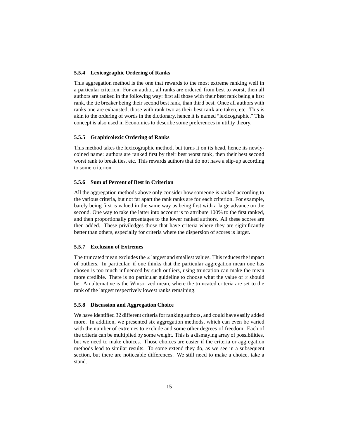#### **5.5.4 Lexicographic Ordering of Ranks**

This aggregation method is the one that rewards to the most extreme ranking well in a particular criterion. For an author, all ranks are ordered from best to worst, then all authors are ranked in the following way: first all those with their best rank being a first rank, the tie breaker being their second best rank, than third best. Once all authors with ranks one are exhausted, those with rank two as their best rank are taken, etc. This is akin to the ordering of words in the dictionary, hence it is named "lexicographic." This concept is also used in Economics to describe some preferences in utility theory.

#### **5.5.5 Graphicolexic Ordering of Ranks**

This method takes the lexicographic method, but turns it on its head, hence its newlycoined name: authors are ranked first by their best worst rank, then their best second worst rank to break ties, etc. This rewards authors that do not have a slip-up according to some criterion.

#### **5.5.6 Sum of Percent of Best in Criterion**

All the aggregation methods above only consider how someone is ranked according to the various criteria, but not far apart the rank ranks are for each criterion. For example, barely being first is valued in the same way as being first with a large advance on the second. One way to take the latter into account is to attribute 100% to the first ranked, and then proportionally percentages to the lower ranked authors. All these scores are then added. These priviledges those that have criteria where they are siginificantly better than others, especially for criteria where the dispersion of scores is larger.

#### **5.5.7 Exclusion of Extremes**

The truncated mean excludes the  $x$  largest and smallest values. This reduces the impact of outliers. In particular, if one thinks that the particular aggregation mean one has chosen is too much influenced by such outliers, using truncation can make the mean more credible. There is no particular guideline to choose what the value of  $x$  should be. An alternative is the Winsorized mean, where the truncated criteria are set to the rank of the largest respectively lowest ranks remaining.

#### **5.5.8 Discussion and Aggregation Choice**

We have identified 32 different criteria for ranking authors, and could have easily added more. In addition, we presented six aggregation methods, which can even be varied with the number of extremes to exclude and some other degrees of freedom. Each of the criteria can be multiplied by some weight. This is a dismaying array of possibilities, but we need to make choices. Those choices are easier if the criteria or aggregation methods lead to similar results. To some extend they do, as we see in a subsequent section, but there are noticeable differences. We still need to make a choice, take a stand.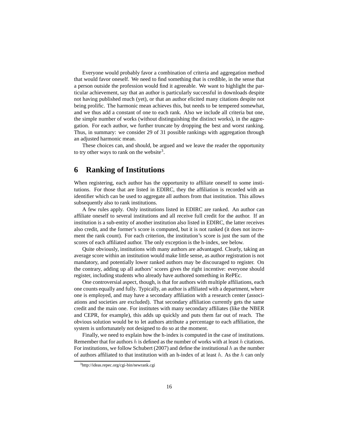Everyone would probably favor a combination of criteria and aggregation method that would favor oneself. We need to find something that is credible, in the sense that a person outside the profession would find it agreeable. We want to highlight the particular achievement, say that an author is particularly successful in downloads despite not having published much (yet), or that an author elicited many citations despite not being prolific. The harmonic mean achieves this, but needs to be tempered somewhat, and we thus add a constant of one to each rank. Also we include all criteria but one, the simple number of works (without distinguishing the distinct works), in the aggregation. For each author, we further truncate by dropping the best and worst ranking. Thus, in summary: we consider 29 of 31 possible rankings with aggregation through an adjusted harmonic mean.

These choices can, and should, be argued and we leave the reader the opportunity to try other ways to rank on the website<sup>3</sup>.

### **6 Ranking of Institutions**

When registering, each author has the opportunity to affiliate oneself to some institutions. For those that are listed in EDIRC, they the affiliation is recorded with an identifier which can be used to aggregate all authors from that institution. This allows subsequently also to rank institutions.

A few rules apply. Only institutions listed in EDIRC are ranked. An author can affiliate oneself to several institutions and all receive full credit for the author. If an institution is a sub-entity of another institution also listed in EDIRC, the latter receives also credit, and the former's score is computed, but it is not ranked (it does not increment the rank count). For each criterion, the institution's score is just the sum of the scores of each affiliated author. The only exception is the h-index, see below.

Quite obviously, institutions with many authors are advantaged. Clearly, taking an average score within an institution would make little sense, as author registration is not mandatory, and potentially lower ranked authors may be discouraged to register. On the contrary, adding up all authors' scores gives the right incentive: everyone should register, including students who already have authored something in RePEc.

One controversial aspect, though, is that for authors with multiple affiliations, each one counts equally and fully. Typically, an author is affiliated with a department, where one is employed, and may have a secondary affiliation with a research center (associations and societies are excluded). That secondary affiliation currently gets the same credit and the main one. For institutes with many secondary affiliates (like the NBER and CEPR, for example), this adds up quickly and puts them far out of reach. The obvious solution would be to let authors attribute a percentage to each affiliation, the system is unfortunately not designed to do so at the moment.

Finally, we need to explain how the h-index is computed in the case of institutions. Remember that for authors h is defined as the number of works with at least h citations. For institutions, we follow Schubert (2007) and define the institutional h as the number of authors affiliated to that institution with an h-index of at least  $h$ . As the h can only

<sup>3</sup>http://ideas.repec.org/cgi-bin/newrank.cgi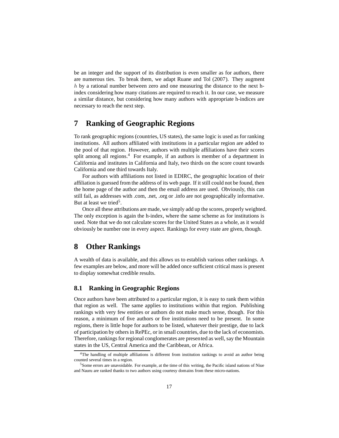be an integer and the support of its distribution is even smaller as for authors, there are numerous ties. To break them, we adapt Ruane and Tol (2007). They augment h by a rational number between zero and one measuring the distance to the next hindex considering how many citations are required to reach it. In our case, we measure a similar distance, but considering how many authors with appropriate h-indices are necessary to reach the next step.

### **7 Ranking of Geographic Regions**

To rank geographic regions (countries, US states), the same logic is used as for ranking institutions. All authors affiliated with institutions in a particular region are added to the pool of that region. However, authors with multiple affiliations have their scores split among all regions.<sup>4</sup> For example, if an authors is member of a department in California and institutes in California and Italy, two thirds on the score count towards California and one third towards Italy.

For authors with affiliations not listed in EDIRC, the geographic location of their affiliation is guessed from the address of its web page. If it still could not be found, then the home page of the author and then the email address are used. Obviously, this can still fail, as addresses with .com, .net, .org or .info are not geographically informative. But at least we tried<sup>5</sup>.

Once all these attributions are made, we simply add up the scores, properly weighted. The only exception is again the h-index, where the same scheme as for institutions is used. Note that we do not calculate scores for the United States as a whole, as it would obviously be number one in every aspect. Rankings for every state are given, though.

### **8 Other Rankings**

A wealth of data is available, and this allows us to establish various other rankings. A few examples are below, and more will be added once sufficient critical mass is present to display somewhat credible results.

#### **8.1 Ranking in Geographic Regions**

Once authors have been attributed to a particular region, it is easy to rank them within that region as well. The same applies to institutions within that region. Publishing rankings with very few entities or authors do not make much sense, though. For this reason, a minimum of five authors or five institutions need to be present. In some regions, there is little hope for authors to be listed, whatever their prestige, due to lack of participation by others in RePEc, or in small countries, due to the lack of economists. Therefore, rankings for regional conglomerates are presented as well, say the Mountain states in the US, Central America and the Caribbean, or Africa.

<sup>4</sup>The handling of multiple affiliations is different from institution rankings to avoid an author being counted several times in a region.

 $<sup>5</sup>$  Some errors are unavoidable. For example, at the time of this writing, the Pacific island nations of Niue</sup> and Nauru are ranked thanks to two authors using courtesy domains from these micro-nations.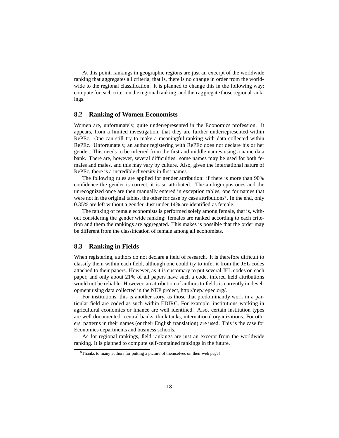At this point, rankings in geographic regions are just an excerpt of the worldwide ranking that aggregates all criteria, that is, there is no change in order from the worldwide to the regional classification. It is planned to change this in the following way: compute for each criterion the regional ranking, and then aggregate those regional rankings.

#### **8.2 Ranking of Women Economists**

Women are, unfortunately, quite underrepresented in the Economics profession. It appears, from a limited investigation, that they are further underrepresented within RePEc. One can still try to make a meaningful ranking with data collected within RePEc. Unfortunately, an author registering with RePEc does not declare his or her gender. This needs to be inferred from the first and middle names using a name data bank. There are, however, several difficulties: some names may be used for both females and males, and this may vary by culture. Also, given the international nature of RePEc, there is a incredible diversity in first names.

The following rules are applied for gender attribution: if there is more than 90% confidence the gender is correct, it is so attributed. The ambiguopus ones and the unrecognized once are then manually entered in exception tables, one for names that were not in the original tables, the other for case by case attributions<sup>6</sup>. In the end, only 0.35% are left without a gender. Just under 14% are identified as female.

The ranking of female economists is performed solely among female, that is, without considering the gender wide ranking: females are ranked according to each criterion and them the rankings are aggregated. This makes is possible that the order may be different from the classification of female among all economists.

#### **8.3 Ranking in Fields**

When registering, authors do not declare a field of research. It is therefore difficult to classify them within each field, although one could try to infer it from the JEL codes attached to their papers. However, as it is customary to put several JEL codes on each paper, and only about 21% of all papers have such a code, infered field attributions would not be reliable. However, an attribution of authors to fields is currently in development using data collected in the NEP project, http://nep.repec.org/.

For institutions, this is another story, as those that predominantly work in a particular field are coded as such within EDIRC. For example, institutions working in agricultural economics or finance are well identified. Also, certain institution types are well documented: central banks, think tanks, international organizations. For others, patterns in their names (or their English translation) are used. This is the case for Economics departments and business schools.

As for regional rankings, field rankings are just an excerpt from the worldwide ranking. It is planned to compute self-contained rankings in the future.

<sup>&</sup>lt;sup>6</sup>Thanks to many authors for putting a picture of themselves on their web page!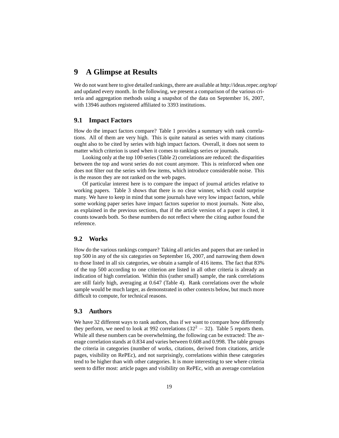### **9 A Glimpse at Results**

We do not want here to give detailed rankings, there are available at http://ideas.repec.org/top/ and updated every month. In the following, we present a comparison of the various criteria and aggregation methods using a snapshot of the data on September 16, 2007, with 13946 authors registered affiliated to 3393 institutions.

#### **9.1 Impact Factors**

How do the impact factors compare? Table 1 provides a summary with rank correlations. All of them are very high. This is quite natural as series with many citations ought also to be cited by series with high impact factors. Overall, it does not seem to matter which criterion is used when it comes to rankings series or journals.

Looking only at the top 100 series (Table 2) correlations are reduced: the disparities between the top and worst series do not count anymore. This is reinforced when one does not filter out the series with few items, which introduce considerable noise. This is the reason they are not ranked on the web pages.

Of particular interest here is to compare the impact of journal articles relative to working papers. Table 3 shows that there is no clear winner, which could surprise many. We have to keep in mind that some journals have very low impact factors, while some working paper series have impact factors superior to most journals. Note also, as explained in the previous sections, that if the article version of a paper is cited, it counts towards both. So these numbers do not reflect where the citing author found the reference.

### **9.2 Works**

How do the various rankings compare? Taking all articles and papers that are ranked in top 500 in any of the six categories on September 16, 2007, and narrowing them down to those listed in all six categories, we obtain a sample of 416 items. The fact that 83% of the top 500 according to one criterion are listed in all other criteria is already an indication of high correlation. Within this (rather small) sample, the rank correlations are still fairly high, averaging at 0.647 (Table 4). Rank correlations over the whole sample would be much larger, as demonstrated in other contexts below, but much more difficult to compute, for technical reasons.

#### **9.3 Authors**

We have 32 different ways to rank authors, thus if we want to compare how differently they perform, we need to look at 992 correlations  $(32^2 - 32)$ . Table 5 reports them. While all these numbers can be overwhelming, the following can be extracted: The average correlation stands at 0.834 and varies between 0.608 and 0.998. The table groups the criteria in categories (number of works, citations, derived from citations, article pages, visibility on RePEc), and not surprisingly, correlations within these categories tend to be higher than with other categories. It is more interesting to see where criteria seem to differ most: article pages and visibility on RePEc, with an average correlation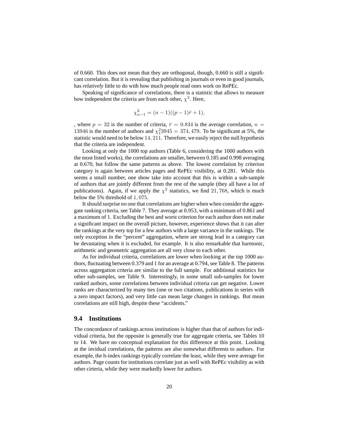of 0.660. This does not mean that they are orthogonal, though, 0.660 is still a significant correlation. But it is revealing that publishing in journals or even in good journals, has *relatively* little to do with how much people read ones work on RePEc.

Speaking of significance of correlations, there is a statistic that allows to measure how independent the criteria are from each other,  $\chi^2$ . Here,

$$
\chi_{n-1}^2 = (n-1)((p-1)\bar{r} + 1),
$$

, where  $p = 32$  is the number of criteria,  $\bar{r} = 0.834$  is the average correlation,  $n =$ 13946 is the number of authors and  $\chi_1^2$ 3945 = 374, 479. To be significant at 5%, the statistic would need to be below 14, 211. Therefore, we easily reject the null hypothesis that the criteria are independent.

Looking at only the 1000 top authors (Table 6, considering the 1000 authors with the most listed works), the correlations are smaller, between 0.185 and 0.998 averaging at 0.670, but follow the same patterns as above. The lowest correlation by criterion category is again between articles pages and RePEc visibility, at 0.281. While this seems a small number, one show take into account that this is within a sub-sample of authors that are jointly different from the rest of the sample (they all have a lot of publications). Again, if we apply the  $\chi^2$  statistics, we find 21,768, which is much below the 5% threshold of 1, 075.

It should surprise no one that correlations are higher when when consider the aggregate ranking criteria, see Table 7. They average at 0.953, with a minimum of 0.861 and a maximum of 1. Excluding the best and worst criterion for each author does not make a significant impact on the overall picture, however, experience shows that it can alter the rankings at the very top for a few authors with a large variance in the rankings. The only exception in the "percent" aggregation, where are strong lead in a category can be devastating when it is excluded, for example. It is also remarkable that harmonic, arithmetic and geometric aggregation are all very close to each other.

As for individual criteria, correlations are lower when looking at the top 1000 authors, fluctuating between 0.379 and 1 for an average at 0.794, see Table 8. The patterns across aggregation criteria are similar to the full sample. For additional statistics for other sub-samples, see Table 9. Interestingly, in some small sub-samples for lower ranked authors, some correlations between individual criteria can get negative. Lower ranks are characterized by many ties (one or two citations, publications in series with a zero impact factors), and very little can mean large changes in rankings. But mean correlations are still high, despite these "accidents."

#### **9.4 Institutions**

The concordance of rankings across institutions is higher than that of authors for individual criteria, but the opposite is generally true for aggregate criteria, see Tables 10 to 14. We have no conceptual explanation for this difference at this point. Looking at the invidual correlations, the patterns are also somewhat differents to authors. For example, the h-index rankings typically correlate the least, while they were average for authors. Page counts for institutions correlate just as well with RePEc visibility as with other cirteria, while they were markedly lower for authors.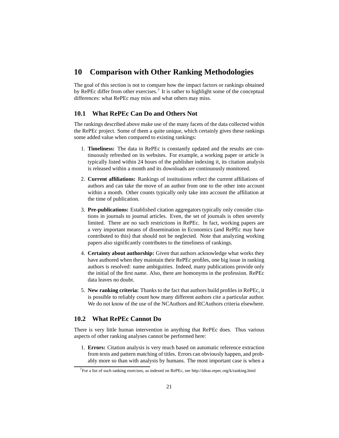### **10 Comparison with Other Ranking Methodologies**

The goal of this section is not to compare how the impact factors or rankings obtained by RePEc differ from other exercises.<sup>7</sup> It is rather to highlight some of the conceptual differences: what RePEc may miss and what others may miss.

#### **10.1 What RePEc Can Do and Others Not**

The rankings described above make use of the many facets of the data collected within the RePEc project. Some of them a quite unique, which certainly gives these rankings some added value when compared to existing rankings:

- 1. **Timeliness:** The data in RePEc is constantly updated and the results are continuously refreshed on its websites. For example, a working paper or article is typically listed within 24 hours of the publisher indexing it, its citation analysis is released within a month and its downloads are continuously monitored.
- 2. **Current affiliations:** Rankings of institutions reflect the current affiliations of authors and can take the move of an author from one to the other into account within a month. Other counts typically only take into account the affiliation at the time of publication.
- 3. **Pre-publications:** Established citation aggregators typically only consider citations in journals to journal articles. Even, the set of journals is often severely limited. There are no such restrictions in RePEc. In fact, working papers are a very important means of dissemination in Economics (and RePEc may have contributed to this) that should not be neglected. Note that analyzing working papers also significantly contributes to the timeliness of rankings.
- 4. **Certainty about authorship:** Given that authors acknowledge what works they have authored when they maintain their RePEc profiles, one big issue in ranking authors is resolved: name ambiguities. Indeed, many publications provide only the initial of the first name. Also, there are homonyms in the profession. RePEc data leaves no doubt.
- 5. **New ranking criteria:** Thanks to the fact that authors build profiles in RePEc, it is possible to reliably count how many different authors cite a particular author. We do not know of the use of the NCAuthors and RCAuthors criteria elsewhere.

#### **10.2 What RePEc Cannot Do**

There is very little human intervention in anything that RePEc does. Thus various aspects of other ranking analyses cannot be performed here:

1. **Errors:** Citation analysis is very much based on automatic reference extraction from texts and pattern matching of titles. Errors can obviously happen, and probably more so than with analysis by humans. The most important case is when a

<sup>&</sup>lt;sup>7</sup>For a list of such ranking exercises, as indexed on RePEc, see http://ideas.repec.org/k/ranking.html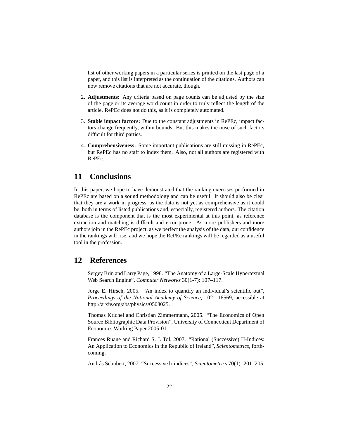list of other working papers in a particular series is printed on the last page of a paper, and this list is interpreted as the continuation of the citations. Authors can now remove citations that are not accurate, though.

- 2. **Adjustments:** Any criteria based on page counts can be adjusted by the size of the page or its average word count in order to truly reflect the length of the article. RePEc does not do this, as it is completely automated.
- 3. **Stable impact factors:** Due to the constant adjustments in RePEc, impact factors change frequently, within bounds. But this makes the ouse of such factors difficult for third parties.
- 4. **Comprehensiveness:** Some important publications are still missing in RePEc, but RePEc has no staff to index them. Also, not all authors are registered with RePEc.

### **11 Conclusions**

In this paper, we hope to have demonstrated that the ranking exercises performed in RePEc are based on a sound methodology and can be useful. It should also be clear that they are a work in progress, as the data is not yet as comprehensive as it could be, both in terms of listed publications and, especially, registered authors. The citation database is the component that is the most experimental at this point, as reference extraction and matching is difficult and error prone. As more publishers and more authors join in the RePEc project, as we perfect the analysis of the data, our confidence in the rankings will rise, and we hope the RePEc rankings will be regarded as a useful tool in the profession.

### **12 References**

Sergey Brin and Larry Page, 1998. "The Anatomy of a Large-Scale Hypertextual Web Search Engine", *Computer Networks* 30(1-7): 107–117.

Jorge E. Hirsch, 2005. "An index to quantify an individual's scientific out", *Proceedings of the National Academy of Science*, 102: 16569, accessible at http://arxiv.org/abs/physics/0508025.

Thomas Krichel and Christian Zimmermann, 2005. "The Economics of Open Source Bibliographic Data Provision", University of Connecticut Department of Economics Working Paper 2005-01.

Frances Ruane and Richard S. J. Tol, 2007. "Rational (Successive) H-Indices: An Application to Economics in the Republic of Ireland", *Scientometrics*, forthcoming.

Andr´as Schubert, 2007. "Successive h-indices", *Scientometrics* 70(1): 201–205.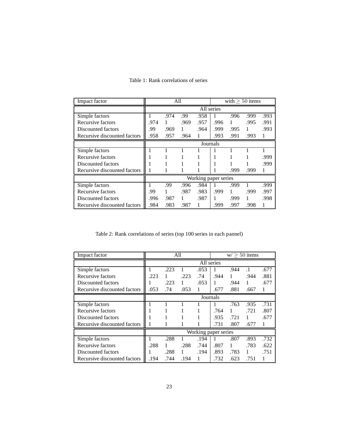| Impact factor                |      |      | All  |      |                      | with $> 50$ items |      |      |
|------------------------------|------|------|------|------|----------------------|-------------------|------|------|
|                              |      |      |      |      | All series           |                   |      |      |
| Simple factors               |      | .974 | .99  | .958 |                      | .996              | .999 | .993 |
| Recursive factors            | .974 | 1    | .969 | .957 | .996                 | 1                 | .995 | .991 |
| Discounted factors           | .99  | .969 | 1    | .964 | .999                 | .995              | 1    | .993 |
| Recursive discounted factors | .958 | .957 | .964 | 1    | .993                 | .991              | .993 | 1    |
|                              |      |      |      |      | Journals             |                   |      |      |
| Simple factors               |      |      |      |      |                      |                   |      |      |
| Recursive factors            |      |      |      |      |                      |                   |      | .999 |
| Discounted factors           |      |      |      |      |                      |                   |      | .999 |
| Recursive discounted factors |      |      |      |      |                      | .999              | .999 |      |
|                              |      |      |      |      | Working paper series |                   |      |      |
| Simple factors               |      | .99  | .996 | .984 |                      | .999              |      | .999 |
| Recursive factors            | .99  | 1    | .987 | .983 | .999                 | $\mathbf{1}$      | .999 | .997 |
| Discounted factors           | .996 | .987 | 1    | .987 | 1                    | .999              | 1    | .998 |
| Recursive discounted factors | .984 | .983 | .987 |      | .999                 | .997              | .998 | 1    |

### Table 1: Rank correlations of series

Table 2: Rank correlations of series (top 100 series in each pannel)

| Impact factor                |      |      | All  |            |                      |      | $w > 50$ items |      |
|------------------------------|------|------|------|------------|----------------------|------|----------------|------|
|                              |      |      |      | All series |                      |      |                |      |
| Simple factors               |      | .223 |      | .053       |                      | .944 | $\cdot$ 1      | .677 |
| Recursive factors            | .223 | 1    | .223 | .74        | .944                 | 1    | .944           | .881 |
| Discounted factors           |      | .223 | 1    | .053       | 1                    | .944 | 1              | .677 |
| Recursive discounted factors | .053 | .74  | .053 | 1          | .677                 | .881 | .667           | 1    |
|                              |      |      |      | Journals   |                      |      |                |      |
| Simple factors               |      |      |      |            |                      | .763 | .935           | .731 |
| Recursive factors            |      |      |      |            | .764                 | 1    | .721           | .807 |
| Discounted factors           |      |      |      |            | .935                 | .721 | 1              | .677 |
| Recursive discounted factors |      |      |      |            | .731                 | .807 | .677           |      |
|                              |      |      |      |            | Working paper series |      |                |      |
| Simple factors               |      | .288 |      | .194       |                      | .807 | .893           | .732 |
| <b>Recursive factors</b>     | .288 |      | .288 | .744       | .807                 | 1    | .783           | .622 |
| Discounted factors           |      | .288 | 1    | .194       | .893                 | .783 | 1              | .751 |
| Recursive discounted factors | .194 | .744 | .194 | 1          | .732                 | .623 | .751           |      |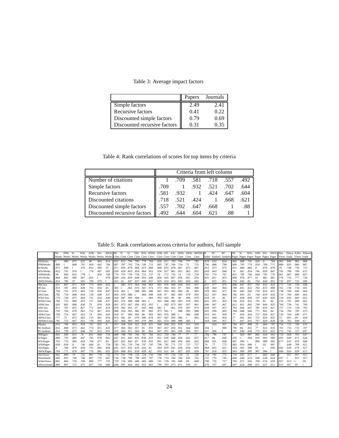Table 3: Average impact factors

|                              | Papers | Journals |
|------------------------------|--------|----------|
| Simple factors               | 2.49   | 2.41     |
| Recursive factors            | 0.41   | 0.22     |
| Discounted simple factors    | 0.79   | 0.69     |
| Discounted recursive factors | 0.31   | 0.35     |

Table 4: Rank correlations of scores for top items by criteria

|                              |      |      | Criteria from left column |              |      |      |
|------------------------------|------|------|---------------------------|--------------|------|------|
| Number of citations          |      | .709 | .581                      | .718         | .557 | .492 |
| Simple factors               | .709 |      | .932                      | .521         | .702 | .644 |
| Recursive factors            | .581 | .932 | $\sim$ 1                  | .424         | .647 | .604 |
| Discounted citations         | .718 | .521 | .424                      | $\mathbf{1}$ | .668 | .621 |
| Discounted simple factors    | .557 | .702 | .647                      | .668         |      | .88  |
| Discounted recursive factors | .492 | .644 | .604                      | .621         | .88  |      |

Table 5: Rank correlations across criteria for authors, full sample

|                  | IN <sub>b</sub> | DNb Sc |      |             | WSc ANb | - ASc | AWSc Nb                                                                                                           |      | D                             | Sc        |                     |           |      |      |      |                     |      |      | DSc WSc WDSc ANb AD ASc ADSc AWSc AWDScH |      | NC   | RC                                                                                | Nb   | Sc.  |      |                 |                 | WSc ANb ASc AWSc Abs |      |      |      | Down AAbs ADown |
|------------------|-----------------|--------|------|-------------|---------|-------|-------------------------------------------------------------------------------------------------------------------|------|-------------------------------|-----------|---------------------|-----------|------|------|------|---------------------|------|------|------------------------------------------|------|------|-----------------------------------------------------------------------------------|------|------|------|-----------------|-----------------|----------------------|------|------|------|-----------------|
|                  |                 |        |      |             |         |       | Works Works Works Works Works Works Works Cites Cites Cites Cites Cites Cites Cites Cites Cites Cites Cites Cites |      |                               |           |                     |           |      |      |      |                     |      |      |                                          |      |      | Index Authors Authors Pages Pages Pages Pages Pages Pages Views loads Views loads |      |      |      |                 |                 |                      |      |      |      |                 |
| <b>NbWorks</b>   |                 | .989   | .875 | .822        | .96     | .864  | .814                                                                                                              |      | .831 .813 .794 .785 .779 .784 |           |                     |           |      |      |      | .826 .811 .793 .784 |      | .777 | .782                                     | .819 | .832 | .824                                                                              | .845 | .808 | .791 | .828            | $.8\phantom{0}$ | .784                 | .902 | .849 | .865 | .808            |
| <b>DNbWorks</b>  | .989            |        | .848 | .791        | .969    | .842  | .786                                                                                                              | .807 | .787                          | .765      | .754                | .749.753  |      | .805 | .787 | .766                | .754 | .75  | .753                                     | .796 | .808 | .799                                                                              | .849 | .795 | .776 | .834            | .789            | .771                 | .889 | .835 | .866 | .807            |
| <b>ScWorks</b>   | .875            | .848   |      | .979        | .832    | .989  | .97                                                                                                               | .871 | .856                          | .879      | .868                | .873      | .868 | .868 | .855 | .878                | .867 | .872 | .867                                     | .853 | .873 | .875                                                                              | .815 | .886 | .884 | $.8\phantom{0}$ | .878            | .878                 | .79  | .748 | .759 | .713            |
| <b>WScWorks</b>  | .822            | .791   | .979 |             | .778    | .967  | .991                                                                                                              | .839 | .828                          | .863      | .854                | .864      | .853 | .836 | .827 | .861                | .852 | .862 | 852                                      | .818 | .843 | .848                                                                              | .76  | .847 | .854 | .746            | .839            | .847                 | .742 | .708 | .709 | .672            |
| <b>ANbWorks</b>  | .96             | .969   | .832 | .778        |         | .856  | .799                                                                                                              | .774 | .755                          | .739      | .728                | .725. 727 |      | .79  | .772 | .752                | .74  | .735 | .739                                     | .761 | .774 | .767                                                                              | .831 | .785 | .768 | .844            | .795            | .776                 | .861 | .807 | .889 | .827            |
| <b>AScWorks</b>  | .864            | .842   | .989 | .967        | .856    |       | .978                                                                                                              | .849 | .834                          | .859      | .848.854.848        |           |      | .859 | .845 | .867                | .856 | .861 | .856                                     | .831 | .851 | .853                                                                              | .808 | .878 | .877 | .81             | .882            | .881                 | .778 | .735 | .777 | .728            |
| <b>AWScWorks</b> | .814            | .786   | .97  | .991        | .799    | .978  |                                                                                                                   | .822 | .81                           | .847      | .837 .849 .837      |           |      | .829 |      | .819 .853           | .843 | .854 | .843                                     | 8    | .825 | .831                                                                              | .754 | .842 | .85  | .754            | .844            | .852                 | .732 | .697 | .725 | .686            |
| <b>NbCites</b>   | .831            | .807   | .871 | .839        | .774    | .849  | .822                                                                                                              |      | .983                          | .974      | .964                | .958      | .963 | .991 | .976 | .968                | .959 | .953 | .957                                     | .957 | .977 | 976                                                                               | .808 | .847 | .837 | .783            | .832            | .824                 |      | 744  | .729 | .698            |
| <b>DCites</b>    | .813            | .787   | .856 | .828        | .755    | .834  | .81                                                                                                               | .983 |                               | .961      | .976                | .947      | .974 | .973 |      | .992 .954           | .97  | .941 | .968                                     | .938 | .964 | .964                                                                              | .788 | .831 | .822 | .763            | .815            | .808                 | .761 | .738 | .716 | .691            |
| ScCites          | .794            | .765   | .879 | .863        | .739    | .859  | .847                                                                                                              | 974  | .961                          |           | .988                | .995      | .988 | .967 | .955 | .995                | .984 | .99  | .983                                     | .929 | .963 | .971                                                                              | .781 | .845 | .843 | .759            | .832            | .831                 | .738 | .708 | .696 | .664            |
| <b>DScCites</b>  | .785            | .754   | .868 | .854        | .728    | .848  | .837                                                                                                              | .964 | .976                          | .988      |                     | .984      | .998 | .956 | .97  | .982                | .995 | .979 | .993                                     | .922 | .957 | .964                                                                              | .766 | .833 | .83  | .744            | .819            | .818                 | .733 | .709 | .689 | .663            |
| <b>WScCites</b>  | .779            | .749   | .873 | .864        | .725    | .854  | .849                                                                                                              | 958  | .947                          | .995      | .984                |           | .983 | .952 | .943 | .99                 | .98  | .996 | .979                                     | .918 | .95  | .96                                                                               | .767 | .838 | .839 | .747            | .826            | .828                 | .724 | .695 | .683 | .652            |
| WDScCites        | .784            | .753   | .868 | .853        | .727    | .848  | .837                                                                                                              | .963 | .974                          | .988      | .998                | .983      |      | .955 | .968 | .982                | .993 | .978 | .995                                     | .921 | .955 | .963                                                                              | .766 | .833 | .832 | .745            | .82             | .82                  | .732 | .707 | .689 | .662            |
| <b>ANbCites</b>  | .826            | .805   | .868 | .836        | .79     | .859  | .829                                                                                                              | .991 | .973                          | .967 .956 |                     | .952.955  |      |      | .982 | .973                | .963 | .957 | .961                                     | .946 | .967 | .967                                                                              | .812 | .851 | .841 | .799            | .844            | .835                 | .766 | .736 | .741 | .709            |
| <b>ADCites</b>   | .81             | .787   | .855 | .827        | .772    | .845  | .819                                                                                                              | .976 | .992                          | .955      | .97                 | .943      | .968 | .982 |      | .961                | .976 | .947 | .974                                     | .934 | .957 | .957                                                                              | .793 | .836 | .827 | .781            | .829            | .821                 | .757 | .733 | .729 | .703            |
| <b>AScCites</b>  | .793            | .766   | .878 | .861        | .752    | .867  | .853                                                                                                              | .968 | .954                          | .995      | .982                | .99       | .982 | .973 | .961 |                     | .988 | .995 | .988                                     | .925 | .956 | .965                                                                              | .784 | .848 | .846 | .771            | .841            | .84                  | .734 | .704 | .705 | .673            |
| ADScCites        | .784            | .754   | .867 | .852        | .74     | .856  | .843                                                                                                              | .959 | .97                           | .984      | .995                | .98       | .993 | .963 | .976 | .988                |      | .984 | .998                                     | .919 | .951 | .958                                                                              | .77  | .836 | .834 | .757            | .828            | .827                 | .729 | .704 | .699 | .671            |
| <b>AWScCites</b> | .777            | .75    | .872 | .862        | .735    | .861  | .854                                                                                                              | .953 | .941                          | .99       | .979 .996 .978      |           |      | .957 | .947 | .995                | .984 |      | .983                                     | .915 | .944 | .954                                                                              | .77  | .841 | .841 | .757            | .834            | .835                 | .72  | .691 | .69  | .659            |
| AWDScCites       | .782            | .753   | .867 | .852        | .739    | .856  | .843                                                                                                              | .957 | .968                          | .983      | .993 .979           |           | .995 | .961 | .974 | .988                | .998 | .983 |                                          | .918 | .949 | .957                                                                              |      | .837 | .835 | .757            | .829            | .828                 | .728 | .703 | .698 | .67             |
| HIndex           | .819            | .796   | .853 | .818        | .761    | .831  | .8                                                                                                                | .957 | .938                          | .929      | .922 .918           |           | .921 | .946 | .934 | .925                | .919 | .915 | .918                                     |      | 934  | .927                                                                              | .784 | .817 | 808  | .76             | .804            | .797                 | .754 | .725 | .708 | .676            |
| <b>NCAuthors</b> | .832            | .808   | .873 | .843        | .774    | .851  | .825                                                                                                              | .977 | .964                          | .963      | .957                | .95       | .955 | .967 | .957 | .956                | .951 | .944 | .949                                     | .934 |      | .996                                                                              | .796 | .84  | .831 | .77             | .825            | .818                 | .78  | .755 | .735 | .707            |
| <b>RCAuthors</b> | .824            | .799   | .875 | .848        | .767    | .853  | .831                                                                                                              | .976 | .964                          | .971      | .964                | .96       | .963 | .967 | .957 | .965                | .958 | .954 | 957                                      | .927 | .996 |                                                                                   | 797  | .846 | .838 | .772            | .831            | .825                 | .772 | .745 | .727 | .697            |
| <b>NbPages</b>   | .845            | .849   | .815 | .76         | .831    | .808  | .754                                                                                                              | .808 | .788                          | .781      | .766                | .767      | .766 | .812 | .793 | .784                | .77  | .77  | .77                                      | 784  | .796 | .797                                                                              |      | .929 | .907 | .982            | .924            | .903                 | .719 | .668 | .703 | .647            |
| <b>ScPages</b>   | .808            | .795   | .886 | $.84^\circ$ | .785    | .878  | .842                                                                                                              | 847  | .831                          | .845      | .833                | .838.833  |      | .851 | .836 | .848                | .836 | .841 | .837                                     | .817 | .84  | .846                                                                              | .929 |      | .994 | .916            | .993            | .989                 | .693 | .649 | .671 | .624            |
| <b>WScPages</b>  | .791            | .776   | .884 | .854        | .768    | .877  | .85                                                                                                               | .837 | 822                           | .843      | .83                 | .839      | .832 | .841 | .827 | .846 .834           |      | .841 | .835                                     | .808 | .831 | .838                                                                              | .907 | .994 |      | .896            | .988            | .995                 | .677 | .633 | .656 | .608            |
| <b>ANbPages</b>  | .828            | .834   | .8   | .746        | .844    | .81   | .754                                                                                                              | .783 | .763                          | .759.744  |                     | .747. 745 |      | .799 | .781 | .771                | .757 | .757 | .757                                     | 76   | .77  | .772                                                                              | .982 | .916 | .896 |                 | .93             | .907                 |      | .648 | .709 | .651            |
| AScPages         |                 | .789   | .878 | .839        | .795    | .882  | .844                                                                                                              | .832 | .815                          |           | .832 .819 .826 .82  |           |      | .844 | .829 | .841                | .828 | .834 | .829                                     | .804 | .825 | .831                                                                              | .924 | .993 | .988 | .93             |                 | .994                 | .682 | .638 | .676 | .627            |
| AWScPages        | .784            | .771   | .878 | .847        | .776    | .881  | .852                                                                                                              | .824 | .808                          | .831      | .818                | .828 .82  |      | .835 | .821 | .84                 | .827 | .835 | .828                                     | .797 | .818 | .825                                                                              | .903 | .989 | .995 | .907            | .994            |                      | .668 | .624 | .659 | .611            |
| <b>AbsViews</b>  | .902            | .889   | .79  | .742        | .861    | .778  | .732                                                                                                              | .772 | .761                          | .738      | .733                | .724.732  |      | .766 | .757 | .734                | .729 | .72  | .728                                     | .754 | .781 | .772                                                                              | .719 | .693 | .677 |                 | .682            | .668                 |      | .957 | .957 | .913            |
| Downloads        | .849            | .835   | .748 | .708        | .807    | .735  | .697                                                                                                              | 744  | .738                          | .708      | .709                | .695 .707 |      | .736 | .733 | .704                | .704 | .691 | .703                                     | 725  | .755 | .745                                                                              | .668 | .649 | .633 | .648            | .638            | .624                 | .951 |      | .913 | .957            |
| <b>AAbsViews</b> | .865            | .866   | .759 | .709        | .889    | .777  | .725                                                                                                              | .729 | .716                          | .696      | .689                | .683      | .689 | .741 | .729 | .705                | .699 | .69  | .698                                     | .708 | .735 | .727                                                                              | 703  | .671 | .656 | .709            | .676            | .659                 | .957 | .913 |      | .95             |
| ADownloads 808   |                 | .807   | .713 | .672        | .827    | .728  | .686                                                                                                              | .698 | .691                          |           | .664 .663 .652 .662 |           |      | .709 | .703 | .673                | .671 | .659 | .67                                      | .676 | .707 | .697                                                                              | .647 | .624 | .608 | .651            | .627            | .611                 | .913 | .957 | .95  |                 |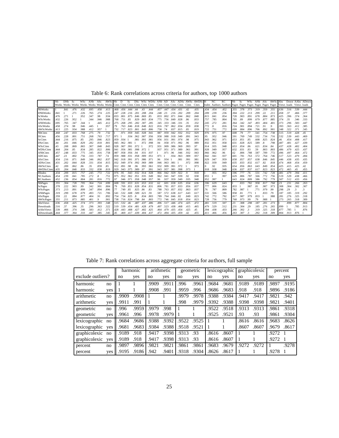Table 6: Rank correlations across criteria for authors, top 1000 authors

|                                      | <b>IIN</b> b   | DNb Sc                                                                                                            |              | WSc          | ANb          | ASc        | AWSc Nb      |            | D        | Sc                                                    |      |                     |           |            |           |                     |           |             | DSc WSc WDSc ANb AD ASc ADSc AWSc AWDSc H |              | NC   | RC                                                                                | Nb   | Sc           |                      | WSc ANb ASc  |                 | AWSc Abs     |              |              |              | Down AAbs ADown |
|--------------------------------------|----------------|-------------------------------------------------------------------------------------------------------------------|--------------|--------------|--------------|------------|--------------|------------|----------|-------------------------------------------------------|------|---------------------|-----------|------------|-----------|---------------------|-----------|-------------|-------------------------------------------|--------------|------|-----------------------------------------------------------------------------------|------|--------------|----------------------|--------------|-----------------|--------------|--------------|--------------|--------------|-----------------|
|                                      |                | Works Works Works Works Works Works Works Cites Cites Cites Cites Cites Cites Cites Cites Cites Cites Cites Cites |              |              |              |            |              |            |          |                                                       |      |                     |           |            |           |                     |           |             |                                           |              |      | Index Authors Authors Pages Pages Pages Pages Pages Pages Views loads Views loads |      |              |                      |              |                 |              |              |              |              |                 |
| <b>NbWorks</b>                       |                | .841                                                                                                              | .476         | .432         | .695         | .458       | .413         |            |          | 468 456 444 44                                        |      | $.43 - .444$        |           |            |           | 457 447 434 431     |           | .42         | .435                                      | .434         | .454 | .452                                                                              | .355 | .378         | .373                 | .319         | .359            | .355         | .636         | .516         | .539         | .444            |
| <b>DNbWorks</b>                      | .841           |                                                                                                                   | .271         | .226         | .765         | .274       | .225         | .247       | .228     | .204. 208. 201. 216.                                  |      |                     |           | .248       | .23       |                     | .216 .202 | .209        | .204                                      | 209          | .239 | .236                                                                              | .304 | .222         | .213                 | .299         | .22             | .211         | .458         | .37          | .466         | .377            |
| <b>ScWorks</b>                       | .476           | .271                                                                                                              |              | .952         | .347         | .98        | .934         | .833       |          | .801 .875 .846 .869 .85                               |      |                     |           | .833       | .802      | .871 .844           |           | .862        | .848                                      | .815         | .841 | .854                                                                              | .728 | .903         | .891                 | .678         | .884            | .873         | .425         | .396         | .374         | .364            |
| <b>WScWorks</b>                      | .432           | .226                                                                                                              | .952         |              | .344         | .946       | .988         | .768       | .751     | .85                                                   | .829 | .865 .834           |           | .775       | .756      | .849 .828           |           | .86         | .833                                      | 757          | .785 | .804                                                                              | .705 | .89          | .899                 | .679         | .877            | .885         | .374         | .35          | .346         | .333            |
| <b>ANbWorks</b>                      | .695           | .765                                                                                                              | .347         | .344         |              | .445       | .412         | .275       | .268     | .295                                                  | .282 | .307 .285           |           | .345       | .333      | .346 .331           |           | .35         | .332                                      | .245         | .272 | .281                                                                              | .364 | .342         | .347                 | .493         | .404            | .401         | .373         | .296         | .583         | .447            |
| <b>AScWorks</b>                      | .458           | .274                                                                                                              | .98          | .946         | .445         |            | .957         | 79         | .763     | .846 .818 .848 .822                                   |      |                     |           | .816       | .787      | .862                | .834      | .859        | .838                                      | .772         | .8   | .816                                                                              | .724 | .901         | .894                 | .721         | .91             | .9           | .393         | .363         | .412         | .385            |
| <b>AWScWorks</b>                     | 11.413         | .225                                                                                                              | .934         | .988         | .412         | .957       |              | .732       | .717     | .823                                                  |      | .801 .843 .806      |           | .758       | .74       | .837                | .815      | .85         | .819                                      | .722         | .751 | .772                                                                              | .699 | .884         | .896                 | .706         | .892            | .901         | .348         | .322         | .371         | .345            |
| <b>NbCites</b>                       | .468           | .247                                                                                                              | .833         | .768         | .275         | .79        | .732         |            | .971     | .959                                                  |      | 945 928 941         |           | 987        |           | 959 942 932         |           | .912        | .929                                      | .976         | .975 | 97                                                                                | .608 | .79          | .77                  | .541         | .754            | .738         | .515         | .519         | .428         | 45              |
| <b>DCites</b>                        | 1.456          | .228                                                                                                              | .801         | .751         | .268         | .763       | .717         | 971        |          | .934                                                  |      | .962 .907 .956      |           | .958       |           | .988 .918 .949      |           | .891        | .943                                      | 95           | .952 | .946                                                                              | .591 | .769         | .749                 | .532         | .734            | .716         | .532         | .539         | .443         | .469            |
| <b>ScCites</b>                       | .444           | .216                                                                                                              | .875         | .85          | .295         | .846       | .823         | .959       | .934     |                                                       | .981 | .991 .981           |           | .956       | .931      | .991 .974           |           | .98         | .975                                      | .943         | .962 | .971                                                                              | .653 | .851         | .85                  | .608         | .825            | .824         | .46          | .454         | .408         | .417            |
| <b>DScCites</b>                      | .44            | .201                                                                                                              | .846         | .829         | .282         | .818       | 801          | 945        | .962     | -981                                                  |      |                     | .972 .998 | .94        | .958      | .971                | .992      | -96         | .989                                      | .932         | .951 | .958                                                                              | .631 | .828         | .825                 | .589         | $.8\phantom{0}$ | .798         | .487         | .481         | .427         | .439            |
| <b>WScCites</b>                      | .43            | .208                                                                                                              | .869         | .865         | .307         | .848       | .843         | .928       | .907     | .991                                                  | .972 |                     | .972      | .931       | .909      | .986                | .969      | .993        | 97                                        | .914         | .935 | .948                                                                              | .653 | .854         | .86                  | .621         | .834            | .84          | .437         | .428         | .402         | .404            |
| WDScCites                            | .444           | .204                                                                                                              | .85          | .834         | .285         | .822       | .806         | .941       |          | .956 .981 .998 .972                                   |      |                     |           | .937       | .951      | .971                | .989      | .961        | .991                                      | .928         | .949 | .957                                                                              | .632 | .831         | .83                  | .59          | .803            | .803         | .486         | .479         | .425         | .437            |
| <b>ANbCites</b>                      | .457           | .248                                                                                                              | .833         | .775         | .345         | .816       | .758         | 987        |          | .958 .956 .94                                         |      | .931 .937           |           |            | .971      | .96                 | .946      | .932        | .943                                      | .966         | .962 | 96                                                                                | .62  | .806         | .788                 | .587         | .789            | .772         | .496         | .497         | .464         | .472            |
| <b>ADCites</b>                       | .447           | .23                                                                                                               | .802         | .756         | .333         | .787       | .74          | .959       |          | .988 .931 .958 .909 .951                              |      |                     |           | .971       |           | .934                | .963      | .909        | .957                                      | .942         | .94  | .937                                                                              | 601  | .781         | .763                 | .572         | .764            | .746         | .517         | .523         | .479         | .494            |
| <b>AScCites</b>                      | .434           | .216                                                                                                              | .871         | .849         | .346         | .862       | .837         | 942.       |          | .918 .991 .971 .986 .971                              |      |                     |           | .96        | .934      |                     | .981      | .991        | .981                                      | 929          | .947 | .959                                                                              | .658 | .857         | .857                 | .638         | .846            | .845         | .446         | .438         | .435         | .435            |
| <b>ADScCites</b>                     | 431            | .202                                                                                                              | .844         | .828         | .331         | .834       | .815         |            |          | .932 .949 .974 .992 .969 .989                         |      |                     |           | .946       | .963 .981 |                     |           | .972        | .998                                      | 922          | .939 | 949                                                                               | .635 | .833         | .832                 | .617         | .82             | .818         | .474         | .468         | .454         | .459            |
| AWScCites                            | .42            | .209                                                                                                              | .862         | .86          | .35          | .859       | .85          | .912       | .891 .98 |                                                       | .96  | .993 .961           |           | .932       | .909      | .991 .972           |           |             | .973                                      | .9           | .92  | .935                                                                              | .654 | .856         | .863                 | .643         | .849            | .854         | .425         | .415         | .425         | .42             |
| AWDScCites 435                       |                | .204                                                                                                              | .848         | .833         | .332         | .838       | .819         | .929       | .943.975 |                                                       | .989 | .97                 | .991      | .943       | .957      | .981                | .998      | .973        |                                           | .918         | .938 | .948                                                                              | .636 | .837         | .837                 | .617         | .823            | .823         | .472         | .465         | .45          | .455            |
| HIndex                               | 434            | .209                                                                                                              | .815         | .757         | .245         | .772       | .722         | .976 .95   |          |                                                       |      | .943 .932 .914 .928 |           | .966       | .942      |                     | .929 .922 | -9          | .918                                      |              | .955 | .952                                                                              | .596 | .777         | .76                  | .531         | .742            | .728         | .481         | .479         | .394         | .411            |
| <b>NCAuthors</b><br><b>RCAuthors</b> | 1.454          | .239<br>.236                                                                                                      | .841         | .785         | .272<br>.281 | .8<br>.816 | .751<br>.772 | 975<br>.97 |          | .949. 952. 951. 959. 952.<br>.946 .971 .958 .948 .957 |      |                     |           | .962       | .937      | .941 .947 .939      | .949      | .92<br>.935 | .938<br>.948                              | .955<br>.952 | .997 | 997                                                                               | .629 | .806<br>.824 | .787<br>.809         | .566         | .772<br>.792    | .756<br>.779 | .519<br>.507 | .529<br>.512 | .438         | .466<br>.456    |
| <b>NbPages</b>                       | 1.452<br>1.355 | .304                                                                                                              | .854<br>.728 | .804<br>.705 | .364         | .724       | .699         | .608       | .591     | .653                                                  | .631 | .653                | .632      | .96<br>.62 | 601       | .959<br>.658        | .635      | 654         | .636                                      | .596         | .629 | .643                                                                              | 643  | .833         | .782                 | .586<br>.958 | .817            | .768         | .23          | .231         | .433<br>.266 | .263            |
| <b>ScPages</b>                       | .378           | .222                                                                                                              | .903         | .89          | .342         | .901       | .884         | .79        | .769     | .851                                                  |      | .828 .854 .831      |           | .806       | .781      | .857                | .833      | .856        | .837                                      | .777         | .806 | .824                                                                              | .833 |              | .987                 | .81          | .987            | .973         | .308         | .304         | .302         | .307            |
| <b>WScPages</b>                      | 1.373          | .213                                                                                                              | .891         | .899         | .347         | .894       | .896         | .77        | .749     | .85                                                   | .825 | .86                 | .83       | .788       | .763      | .857                | .832      | .863        | .837                                      | 76.          | .787 | .809                                                                              | .782 | .987         |                      | .771         | .979            | .99          | .298         | .29          | 3            | 3               |
| ANbPages                             | 1.319          | .299                                                                                                              | .678         | .679         | .493         | .721       | .706         | 541        | .532     | .608 .589                                             |      | .621 .59            |           | .587       | .572      | .638 .617           |           | .643        | .617                                      | .531         | .566 | .586                                                                              | .958 | .81          | .771                 |              | .833            | .79          | .187         | .185         | .319         | .292            |
| AScPages                             | .359           | .22                                                                                                               | .884         | .877         | .404         | .91        | .892         | .754       | .734     | .825 .8                                               |      | .834 .803           |           | .789       |           | .764 .846 .82       |           | .849        | .823                                      | 742          | .772 | .792                                                                              | .817 | .987         | .979                 | .833         |                 | .988         | .281         | .276         | .325         | .318            |
| <b>AWScPages</b>                     | 1.355          | .211                                                                                                              | .873         | .885         | .401         | .9         | .901         |            |          | .738 .716 .824 .798 .84                               |      |                     | .803      |            |           | .772 .746 .845 .818 |           | .854        | .823                                      | .728         | .756 | .779                                                                              | .768 | .973         | .99                  | .79          | .988            |              | .273         | .265         | .318         | .309            |
| <b>AbsViews</b>                      | .636           | .458                                                                                                              | .425         | .374         | .373         | .393       | .348         | 515        | 532      | .46                                                   | .487 | .437                | .486      | .496       | .517      | .446                | 474       | .425        | .472                                      | .481         | .519 | .507                                                                              | .23  | .308         | .298                 | .187         | .281            | .273         |              | .899         | .877         | .804            |
| Downloads                            | 1.516          | .37                                                                                                               | .396         | .35          | .296         | .363       | .322         | .519       | .539     | .454                                                  | .481 | .428.479            |           | .497       | .523      | .438                | .468      | .415        | .465                                      | .479         | .529 | .512                                                                              | .231 | .304         | .29                  | .185         | .276            | .265         | .899         |              | .785         | .913            |
| <b>AAbsViews</b>                     | 1.539          | .466                                                                                                              | .374         | .346         | .583         | .412       | 371          | .428       | .443     | .408 .427                                             |      | .402 .425           |           | .464       |           | .479 .435           | .454      | .425        | .45                                       | .394         | .438 | .433                                                                              | .266 | .302         | $\cdot$ <sub>3</sub> | .319         | .325            | .318         | .877         | .785         |              | .876            |
| ADownloads 444                       |                | .377                                                                                                              | .364         | .333         | .447         | .385       | .345         | .45        |          | .469 .417 .439 .404 .437                              |      |                     |           |            |           | .472 .494 .435 .459 |           | .42         | .455                                      | .411         | .466 | .456                                                                              | .263 | $.307 - .3$  |                      | .292         | .318            | .309         | .804         | .913         | .876         |                 |
|                                      |                |                                                                                                                   |              |              |              |            |              |            |          |                                                       |      |                     |           |            |           |                     |           |             |                                           |              |      |                                                                                   |      |              |                      |              |                 |              |              |              |              |                 |

Table 7: Rank correlations across aggregate criteria for authors, full sample

|                   |     |       | harmonic |       | arithmetic |       | geometric |       | lexicographic |       | graphicolexic |       | percent        |
|-------------------|-----|-------|----------|-------|------------|-------|-----------|-------|---------------|-------|---------------|-------|----------------|
| exclude outliers? |     | no    | yes      | no    | yes        | no    | yes       | no    | yes           | no    | yes           | no    | yes            |
| harmonic          | no  |       |          | .9909 | .9911      | .996  | .9961     | .9684 | .9681         | .9189 | .9189         | .9897 | .9195          |
| harmonic          | yes |       |          | .9908 | .991       | .9959 | .996      | .9686 | .9683         | .918  | .918          | .9896 | .9186          |
| arithmetic        | no  | .9909 | .9908    |       |            | .9979 | .9978     | .9388 | .9384         | .9417 | .9417         | .9821 | .942           |
| arithmetic        | yes | .9911 | .991     |       |            | .998  | .9979     | .9392 | .9388         | .9398 | .9398         | .9821 | .9401          |
| geometric         | no  | .996  | .9959    | .9979 | .998       |       |           | .9522 | .9518         | .9313 | .9313         | .9861 | .9318          |
| geometric         | yes | .9961 | .996     | .9978 | .9979      |       |           | .9525 | .9521         | .93   | .93           | .9861 | .9304          |
| lexicographic     | no  | .9684 | .9686    | .9388 | .9392      | .9522 | .9525     |       |               | .8616 | .8616         | .9683 | .8626          |
| lexicographic     | yes | .9681 | .9683    | .9384 | .9388      | .9518 | .9521     |       |               | .8607 | .8607         | .9679 | .8617          |
| graphicolexic     | no  | .9189 | .918     | .9417 | .9398      | .9313 | .93       | .8616 | .8607         |       |               | .9272 | $\overline{1}$ |
| graphicolexic     | ves | .9189 | .918     | .9417 | .9398      | .9313 | .93       | .8616 | .8607         | 1     |               | .9272 |                |
| percent           | no  | .9897 | .9896    | .9821 | .9821      | .9861 | .9861     | .9683 | .9679         | .9272 | .9272         |       | .9278          |
| percent           | yes | .9195 | .9186    | .942  | .9401      | .9318 | .9304     | .8626 | .8617         |       |               | .9278 |                |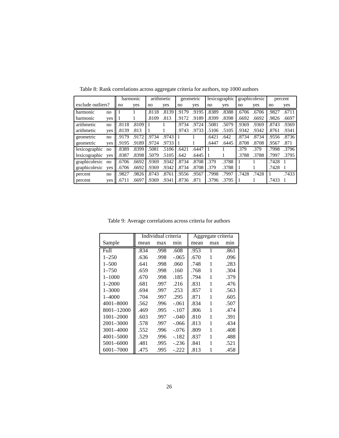|                   |     |       | harmonic |       | arithmetic |       | geometric |       | lexicographic |       | graphicolexic | percent |       |
|-------------------|-----|-------|----------|-------|------------|-------|-----------|-------|---------------|-------|---------------|---------|-------|
| exclude outliers? |     | no    | yes      | no    | yes        | no    | yes       | no    | yes           | no    | yes           | no      | yes   |
| harmonic          | no  |       |          | .8118 | .8139      | .9179 | .9195     | .8389 | .8388         | .6706 | .6706         | .9827   | .6711 |
| harmonic          | yes |       |          | .8109 | .813       | .9172 | .9189     | .8399 | .8398         | .6692 | .6692         | .9826   | .6697 |
| arithmetic        | no  | .8118 | .8109    |       |            | .9734 | .9724     | .5081 | .5079         | .9369 | .9369         | .8743   | .9369 |
| arithmetic        | ves | .8139 | .813     |       |            | .9743 | .9733     | .5106 | .5105         | .9342 | .9342         | .8761   | .9341 |
| geometric         | no  | .9179 | .9172    | .9734 | .9743      |       |           | .6421 | .642          | .8734 | .8734         | .9556   | .8736 |
| geometric         | yes | .9195 | .9189    | .9724 | .9733      |       |           | .6447 | .6445         | .8708 | .8708         | .9567   | .871  |
| lexicographic     | no  | .8389 | .8399    | .5081 | .5106      | .6421 | .6447     |       |               | .379  | .379          | .7998   | .3796 |
| lexicographic     | ves | .8387 | .8398    | .5079 | .5105      | .642  | .6445     |       |               | .3788 | .3788         | .7997   | .3795 |
| graphicolexic     | no  | .6706 | .6692    | .9369 | .9342      | .8734 | .8708     | .379  | .3788         |       |               | .7428   |       |
| graphicolexic     | ves | .6706 | .6692    | .9369 | .9342      | .8734 | .8708     | .379  | .3788         |       |               | .7428   |       |
| percent           | no  | .9827 | .9826    | .8743 | .8761      | .9556 | .9567     | .7998 | .7997         | .7428 | .7428         |         | .7433 |
| percent           | yes | .6711 | .6697    | .9369 | .9341      | .8736 | .871      | .3796 | .3795         |       |               | .7433   |       |

Table 8: Rank correlations across aggregate criteria for authors, top 1000 authors

Table 9: Average correlations across criteria for authors

|               |      | Individual criteria |         |      | Aggregate criteria |      |
|---------------|------|---------------------|---------|------|--------------------|------|
| Sample        | mean | max                 | min     | mean | max                | min  |
| Full          | .834 | .998                | .608    | .953 | 1                  | .861 |
| $1 - 250$     | .636 | .998                | $-.065$ | .670 | 1                  | .096 |
| $1 - 500$     | .641 | .998                | .060    | .748 | 1                  | .283 |
| $1 - 750$     | .659 | .998                | .160    | .768 | 1                  | .304 |
| $1 - 1000$    | .670 | .998                | .185    | .794 | 1                  | .379 |
| $1 - 2000$    | .681 | .997                | .216    | .831 | 1                  | .476 |
| $1 - 3000$    | .694 | .997                | .253    | .857 | 1                  | .563 |
| $1 - 4000$    | .704 | .997                | .295    | .871 | 1                  | .605 |
| 4001-8000     | .562 | .996                | $-.061$ | .834 | 1                  | .507 |
| 8001-12000    | .469 | .995                | $-.107$ | .806 | 1                  | .474 |
| $1001 - 2000$ | .603 | .997                | $-.040$ | .810 | 1                  | .391 |
| 2001-3000     | .578 | .997                | $-.066$ | .813 | 1                  | .434 |
| 3001-4000     | .552 | .996                | $-.076$ | .809 | 1                  | .408 |
| 4001-5000     | .529 | .996                | $-182$  | .837 | 1                  | .488 |
| 5001-6000     | .481 | .995                | $-.236$ | .841 | 1                  | .521 |
| 6001-7000     | .475 | .995                | -.222   | .813 | 1                  | .458 |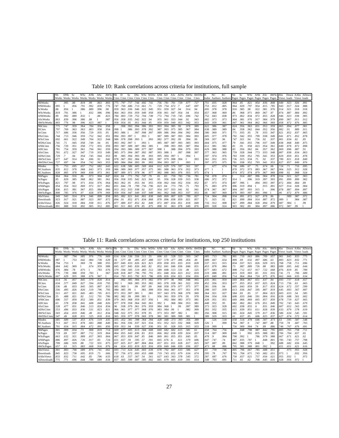Table 10: Rank correlations across criteria for institutions, full sample

|                  | <b>N<sub>b</sub></b> | <b>DNb</b> | -Sc  | WSc ANb |      | $\overline{A}$ Sc | AWSc Nb<br>Works Works Works Works Works Works Works Cites Cites Cites Cites Cites Cites Cites Cites Cites Cites Cites Cites |      | $\overline{D}$ | Sc   |                     |           |      |         |      |           |      |                  | DSc WSc WDSc ANb AD ASc ADSc AWSc AWDSc H |      | NC<br>Index Authors Authors Pages Pages Pages Pages Pages Pages Views loads Views loads | RC   | Nb   | Sc   |      | WSc ANb ASc |      | AWSc Abs |      |      |      | Down AAbs ADown |
|------------------|----------------------|------------|------|---------|------|-------------------|------------------------------------------------------------------------------------------------------------------------------|------|----------------|------|---------------------|-----------|------|---------|------|-----------|------|------------------|-------------------------------------------|------|-----------------------------------------------------------------------------------------|------|------|------|------|-------------|------|----------|------|------|------|-----------------|
|                  |                      |            |      |         |      |                   |                                                                                                                              |      |                |      |                     |           |      |         |      |           |      |                  |                                           |      |                                                                                         |      |      |      |      |             |      |          |      |      |      |                 |
| <b>NbWorks</b>   |                      | .995       | .88  | .819    | .99  | .863              | .803                                                                                                                         | .775 | .797           | .717 | .744 .692 .741      |           |      | .756    | .781 | .701      | .729 | .677             | .727                                      | .751 | .835                                                                                    | .828 | .964 | .85  | .821 | .954        | .836 | .808     | .949 | .923 | .926 | .891            |
| <b>DNbWorks</b>  | .995                 |            | .856 | .791    | .992 | .839              | .776                                                                                                                         | .747 | .769           | .686 | .713 .661 .71       |           |      | .729    | .754 | .672      |      | .647             | .697                                      | 753  | .812                                                                                    | .805 | .964 | .829 | .797 | .954        | .815 | .785     | .943 | .917 | .924 | .888            |
| <b>ScWorks</b>   | .88                  | .856       |      | .986    | .889 | .996              | 98                                                                                                                           | .959 | .963           |      | .936 .946 .922 .945 |           |      | .951    | .959 | .927      | .94  | .914             | .94                                       | 695  | .978                                                                                    | .978 | .916 | .985 | .98  | .922        | .981 | .976     | .914 | .921 | .918 | .918            |
| <b>WScWorks</b>  | .819                 | .791       | .986 |         | .832 | .986              | .996                                                                                                                         | 964  | .963           |      | .956 .959 .949 .958 |           |      | .958    | .961 | .947      | .954 | 94               | .954                                      | 657  | .968                                                                                    | 969  | .86  | .968 | .971 | .869        | .967 | .97      | .874 | .887 | .884 | .892            |
| <b>ANbWorks</b>  | .99                  | .992       | .889 | .832    |      | .88               | .823                                                                                                                         | .784 | .803           | .729 | .752 .704 .749      |           |      | .772    | .794 | .719      | .745 | .696             | .742                                      | 752  | .843                                                                                    | .838 | .973 | .862 | .834 | .972        | .855 | .828     | .946 | .923 | .938 | .905            |
| <b>AScWorks</b>  | .863                 | .839       | .996 | .986    | .88  |                   | 987                                                                                                                          | .956 | .958           |      | .935 .942 .922 .94  |           |      | .955    | .961 | .933      | .944 | .92              | .943                                      | 682  | .973                                                                                    | .973 | .904 | .981 | .976 | .917        | .984 | .979     | .899 | .907 | .911 | .912            |
| <b>AWScWorks</b> | 1.803                | .776       | .98  | .996    | .823 | .987              |                                                                                                                              | .958 | .954           | .95  | .951                | .944 .95  |      | .959    | .959 | .949.953  |      | .942             | .953                                      | .643 | .959                                                                                    | .961 | .847 | .961 | .964 | .862        | .966 | .969     | .858 | .872 | .876 | .885            |
| <b>NbCites</b>   | .775                 | .747       | .959 | .964    | .784 | .956              | .958                                                                                                                         |      | .998           | .993 | .994                | .986      | .993 | .993    | .994 | .985      | .99  | .978             | .989                                      | 622  | .986                                                                                    | .987 | .824 | .956 | .963 | .831        | .953 | .959     | .865 | .894 | .877 | .901            |
| <b>DCites</b>    | .797                 | .769       | .963 | .963    | .803 | .958              | .954                                                                                                                         | .998 |                | .986 | .993                | .978 .992 |      | .987    | .993 | .975      | .985 | .967             | .984                                      | 638  | .989                                                                                    | .989 | .84  | .958 | .962 | .844        | .952 | .956     | .882 | .91  | .889 | .911            |
| ScCites          | .717                 | .686       | .936 | .956    | .729 | .935              | .95                                                                                                                          | .993 | .986           |      | .997                | .998 .997 |      | .989    | .986 | .994      | .994 | .992             | .994                                      | 586  | .969                                                                                    | .971 | 77   | .935 | .95  | .78         | .933 | .947     | 821  | .852 | .837 | .865            |
| <b>DScCites</b>  | .744                 | .713       | .946 | .959    | .752 | .942              | .951                                                                                                                         | .994 | .993           | .997 |                     | .993      |      | .987    | .989 | .987      | .993 | .984             | .993                                      | 605  | .977                                                                                    | .978 | .792 | .942 | .955 | .799        | .938 | .949     | 841  | .871 | .852 | .878            |
| WScCites         | .692                 | .661       | .922 | .949    | .704 | .922              | .944                                                                                                                         | .986 | .978           | .998 | .993                |           | .993 | .982    | .977 | .992      | .99  | .994             | .99                                       | 569  | .957                                                                                    | .96  | .747 | .921 | .94  | .756        | .92  | .937     | .801 | .834 | .82  | .85             |
| WDScCites        | .741                 | .71        | .945 | .958    | .749 | .94               | .95                                                                                                                          | .993 | .992           | .997 |                     | .993      |      | .985    | .987 | .987      | .993 | .983             | .993                                      | .604 | .975                                                                                    | .977 | .79  | .941 | .955 | .796        | .937 | .949     | .838 | .868 | .849 | .875            |
| <b>ANbCites</b>  | .756                 | .729       | .951 | .958    | .772 | .955              | .959                                                                                                                         | .993 |                | .989 | .987                | .982      | .985 |         | .998 | .993      | .995 | .987             | 994                                       | .612 | .981                                                                                    | .982 | .81  | .95  | .958 | .823        | .954 | .961     | .849 | .878 | .872 | .898            |
| <b>ADCites</b>   | .781                 | .754       | .959 | .961    | .794 | .961              | .959                                                                                                                         | .994 | .993           | .986 | .989                | .977      | .987 | .998    |      | .988      | .994 | .979             | .993                                      | 629  | .988                                                                                    | .988 | .83  | .956 | .962 | .84         | .957 | .962     | .869 | .896 | .887 | .91             |
| <b>AScCites</b>  | 1.701                | .672       | .927 | .947    | .719 | .933              | .949                                                                                                                         | .985 | .975           | .994 | .987                | .992      | .987 | .993    | .988 |           | .997 | .998             | .997                                      | .577 | .963                                                                                    | .965 | .759 | .928 | .944 | .773        | .933 | .948     | .807 | .838 | .834 | .863            |
| <b>ADScCites</b> | .729                 |            | .94  | .954    | .745 | .944              | .953                                                                                                                         | .99  | .985           | .994 | .993                | .99       | .993 | .995    | .994 | .997      |      | .994             |                                           | .597 | .974                                                                                    | .976 | .783 | .939 | .952 | .795        | .941 | .953     | .829 | .859 | .851 | .878            |
| <b>AWScCites</b> | .677                 | .647       | .914 | .94     | .696 | .92               | .942                                                                                                                         | .978 | .967           | .992 | .984                | .994.983  |      | .987    | .979 | .998 .994 |      |                  | .993                                      | .561 | .952                                                                                    | .955 | .736 | .915 | .934 | .75         | .92  | .937     | .789 | .821 | .818 | .849            |
| AWDScCites 727   |                      | .697       | .94  | .954    | .742 | .943              | .953                                                                                                                         | .989 | .984           | .994 | .993                | .99       | .993 | .994    | .993 | .997      |      | .993             |                                           | .597 | .973                                                                                    | .975 | .781 | .938 | .952 | .793        | .941 | .953     | .827 | .857 | .849 | .876            |
| HIndex           | 1.75                 | .753       | .695 | .657    | .752 | .682              | .643                                                                                                                         | .622 | .638           | .586 | .605 .569           |           | .604 | .612    | .629 | .576      | .597 | .561             | .597                                      |      | .677                                                                                    | .674 | .758 | .686 | .67  | .75         | .674 | .66      | .724 | .71  | .716 | .695            |
| <b>NCAuthors</b> | .835                 | .812       | .978 | .968    | .843 | .973              | .959                                                                                                                         | .986 | .989           | .969 | .977                | .957      | .975 | 981     | .988 | .963      | .974 | .952             | .973                                      | .677 |                                                                                         |      | .878 | .972 | .973 | .883        | .967 | .967     | .904 | .925 | .912 | .928            |
| <b>RCAuthors</b> | .828                 | .805       | .978 | .969    | .838 | .973              | .961                                                                                                                         | .987 | .989           | .971 | .978                | .96       | .97  | .982    | .988 | .965      | .976 | .955             | .975                                      | .674 |                                                                                         |      | 874  | .972 | .974 | .879        | .967 | .969     | .898 | .92  | .908 | .924            |
| <b>NbPages</b>   | .964                 | .964       | .916 | .86     | .973 | .904              | .847                                                                                                                         | .824 | .84            | .771 | .792                | .747      | .79  | .81     | .83  | .759      | .783 | .736             | .781                                      | .758 | .878                                                                                    | .874 |      | .914 | .887 | .996        | .904 | .878     | .934 | .921 | .927 | .903            |
| <b>ScPages</b>   | 1.85                 | .829       | .985 | .968    | .862 | .981              | .961                                                                                                                         | .956 | .958           | .935 | .942 .921           |           | .94  | .95     | .956 | .928      | .939 | .915             | .938                                      | 686  | .972                                                                                    | .972 | 914  |      | .996 | .919        | .997 | .993     | 891  | .899 | .899 | .902            |
| WScPages         | .821                 | .797       | .98  | .971    | .834 | .976              | .964                                                                                                                         | .963 | .962           | .95  | .955                | .94       | .955 | .958    | .962 | .944      | .952 | .934             | .952                                      | 67   | .973                                                                                    | .974 | .887 | .996 |      | .894        | .993 | 997      | .872 | .884 | .884 | .89             |
| ANbPages         | .954                 | .954       | .922 | .869    | .972 | .917              | .862                                                                                                                         | .831 | .844           | .78  | .799                | .756796   |      | .823    | .84  | .773      | .795 | .75              | .793                                      | 75   | .883                                                                                    | .879 | .996 | .919 | .894 |             | .915 | .891     | .927 | .914 | .928 | .904            |
| AScPages         | .836                 | .815       | .981 | .967    | .855 | .984              | .966                                                                                                                         | .953 | .952           | .933 | .938                | .92       | .937 | .954    | .957 | .933      | .941 | .92              | .941                                      | .674 | .967                                                                                    | .967 | .904 | .997 | .993 | .915        |      | .996     | .878 | .887 | .894 | .897            |
| AWScPages        | .808                 | .785       | .976 | .97     | .828 | .979              | .969                                                                                                                         | .959 | .956           | .947 | .949                | .937 .949 |      | .961    | .962 | .948      | .953 | .937             | .953                                      | .66  | .967                                                                                    | .969 | .878 | .993 | .997 | .891        | .996 |          | .86  | .872 | .879 | .886            |
| <b>AbsViews</b>  | .949                 | .943       | .914 | .874    | .946 | 899               | .858                                                                                                                         | .865 | 882            | .821 | .841                | .801      | .838 | .849    | .869 | .807      | .829 | .789             | .827                                      | .724 | .904                                                                                    | .898 | .934 | .891 | .872 | .927        | .878 | .86      |      | .989 | .987 | .972            |
| Downloads        | .923                 | .917       | .921 | .887    | .923 | .907              | .872                                                                                                                         | .894 | .91            | .852 | .871                | .834      | .868 | .878    | .896 | .838      | .859 | .82 <sub>1</sub> | .857                                      | .71  | .925                                                                                    | .92  | .921 | .899 | .884 | .914        | .887 | .872     | .989 |      | .984 | .987            |
| <b>AAbsViews</b> | .926                 | .924       | .918 | .884    | .938 | .911              | .876                                                                                                                         | .877 | .889           | .837 | .852                | .82       | .849 | .872    | .887 | .834      | .85  | .818             | .849                                      | 716  | .912                                                                                    | .908 | .927 | .899 | .884 | .928        | .894 | .879     | .987 | .984 |      | .99             |
| ADownloads 891   |                      | .888       | .918 | .892    | .905 | .912              | .885                                                                                                                         | .901 | .911           |      | .865 .878 .85       |           | .875 | .898.91 |      | .863      | .878 | .849             | .876                                      | 695  | .928                                                                                    | .924 | .903 | .902 | .89  | .904        | .897 | .886     | .972 | .987 | .99  |                 |

Table 11: Rank correlations across criteria for institutions, top 250 institutions

|                  | Nb    | DN <sub>b</sub>                                                                                                   | - Sc | WSc  | ANb  | ASc  | AWSc Nb |      | D    | Sc.                      |      |                     |      |          |           |                |      |      | DSc WSc WDSc ANb AD ASc ADSc AWSc AWDSc H |      | NC      | RC                                                                                | Nb   | Sc   | <b>WSc</b>     |      | AN <sub>b</sub> A <sub>Sc</sub> | AWSc Abs |      |      |      | Down AAbs ADown |
|------------------|-------|-------------------------------------------------------------------------------------------------------------------|------|------|------|------|---------|------|------|--------------------------|------|---------------------|------|----------|-----------|----------------|------|------|-------------------------------------------|------|---------|-----------------------------------------------------------------------------------|------|------|----------------|------|---------------------------------|----------|------|------|------|-----------------|
|                  |       | Works Works Works Works Works Works Works Cites Cites Cites Cites Cites Cites Cites Cites Cites Cites Cites Cites |      |      |      |      |         |      |      |                          |      |                     |      |          |           |                |      |      |                                           |      |         | Index Authors Authors Pages Pages Pages Pages Pages Pages Views loads Views loads |      |      |                |      |                                 |          |      |      |      |                 |
| <b>NbWorks</b>   |       | .987                                                                                                              | .794 | .685 | .976 | .776 | .669    | .614 |      | .634 .536 .556 .511 .55  |      |                     |      | .606 .63 |           | .528 .553      |      | .503 | .547                                      | .685 | .713    | .701                                                                              | .901 | .719 | .663           | .886 | .709                            | .657     | .901 | .845 | .833 | .775            |
| <b>DNbWorks</b>  | .987  |                                                                                                                   | .753 | .642 | .984 | .739 | .629    | .56  | .577 | .48                      | .495 | .457.488            |      | .557     | .578      | .477           | .496 | 454  | 49                                        | 689  | .667    | .654                                                                              | .909 | .69  | .632           | .897 | .686                            | .63      | .883 | .823 | .832 | .771            |
| <b>ScWorks</b>   | .794  | .753                                                                                                              |      | .969 | .78  | .988 | .955    | .857 | .849 | .833 .826 .821 .821      |      |                     |      | .859     |           | .858 .831 .833 |      | .819 | .828                                      | .537 | .913    | .915                                                                              | .834 | .937 | .921           | .826 | .929                            | .915     | .768 | .758 | .711 | .696            |
| WScWorks         | .684  | .642                                                                                                              | .969 |      | .674 | .959 | .988    | .845 | .827 | .845                     |      | .826 .845 .82       |      | .852     | .841      | .846           | .836 | .846 | .83 <sup>°</sup>                          | .453 | .878    | .884                                                                              | .73  | .887 | .889           | .726 | .88                             | .883     | .689 | .695 | .642 | .644            |
| <b>ANbWorks</b>  | .976  | .984                                                                                                              | .78  | .675 |      | .783 | .676    | .579 | .594 | .505 .519 .483 .512      |      |                     |      | .589     | .608      | .513           | .531 | .49  | .525                                      | .677 | .683    | .672                                                                              | .908 | .712 | .657           | .917 | .722                            | .668     | .876 | .819 | .85  | .789            |
| <b>AScWorks</b>  | .776  | .739                                                                                                              | .988 | .959 | .783 |      | .967    | .828 | .818 | .807                     | .796 | .795                | .791 | .851     | .848      | .824           | .823 | .812 | .818                                      | .519 | .888    | .891                                                                              | .819 | .919 | .903           | .83  | .931                            | .916     | 741  | .73  | .706 | .689            |
| AWScWorks .667   |       | .629                                                                                                              | .955 | .988 | .676 | .967 |         | .814 | .793 | .815 .792 .815 .786      |      |                     |      | .839     | .826 .834 |                | .821 | .834 | .816                                      | .435 | .849    | .856                                                                              | .714 | .864 | .864           | .724 | .875                            | .876     | .662 | .666 | .633 | .634            |
| <b>NbCites</b>   | .614  | .56                                                                                                               | .857 | .845 | 579  | .828 | .814    |      | 992  |                          |      | .985 .984 .973 .982 |      |          | .979.977  | $-96$          | .966 | .948 | 965                                       | .435 | .961    | .959                                                                              | .669 | .864 | .867           | .651 | .837                            | -84      | .693 | 737  | .618 | .657            |
| <b>DCites</b>    | .634  | .577                                                                                                              | .849 | .827 | .594 | .818 | .793    | .992 |      | .969                     | .985 | .953.982            |      |          |           | .965 .978 .938 | .961 | .922 | .959                                      | .452 | .956    | .953                                                                              | .677 | 855  | .853           | .657 | .825                            | .824     | .713 | .756 | .63  | .665            |
| <b>ScCites</b>   | .536  | .48                                                                                                               | .833 | .845 | .505 | .807 | .815    | .985 | .969 |                          | .99  | .997                | .99  | .968     | .958      | .979           | .977 | .975 | .977                                      | .381 | .936    | .94                                                                               | .605 | .843 | .859           | .59  | .817                            | .833     | .624 | .672 | .557 | .599            |
| <b>DScCites</b>  | .556  | .495                                                                                                              | .826 | .826 | .519 | .796 | 793     | 984  | .985 | .99                      |      | .981                | .999 | .959     | .964      | .961           | .977 | .951 | .978                                      | .398 | .937    | .939                                                                              | .613 | .836 | .847           | .595 | .807                            | .819     | .645 | .693 | .567 | .607            |
| <b>WScCites</b>  | 1.511 | .457                                                                                                              | .821 | .845 | .483 | .795 | .815    | .973 | .953 | .997                     | .981 |                     | .981 | .957     | .943      | .976           | .968 | .978 | .969                                      | 364  | .921    | .927                                                                              | .584 | .83  | .85            | .57  | .804                            | .823     | .603 | .653 | .54  | .585            |
| <b>WDScCites</b> | .55   | .488                                                                                                              | .821 | .82  | .512 | .791 | .786    | 982  | .982 | .99                      | .999 | .981                |      | .956     | .961      | .959           | .976 | .95  | .978                                      | .394 | .934    | .936                                                                              | .608 | .833 | .846           | .591 | .804                            | .816     | .639 | .688 | .561 | .602            |
| <b>ANbCites</b>  | .606  | .557                                                                                                              | .859 | .852 | .589 | .851 | .839    | .979 | .965 | .968                     |      | .959 .957 .956      |      |          | .992      | .984           | .983 | .973 | .98                                       | 428  | .951    | .951                                                                              | .669 | .866 | .869           | .665 | .857                            | .859     | .678 | .719 | .627 | .665            |
| <b>ADCites</b>   | .63   | .578                                                                                                              | .858 | .841 | .608 | .848 | .826    | .977 | .978 | .958 .964                |      | .943                | .961 | .992     |           | .968           | .984 | .953 | .98                                       | .448 | .952    | .95                                                                               | .682 | .862 | .861           | .676 | .851                            | .849     | .702 | .743 | .643 | .679            |
| <b>AScCites</b>  | .528  | .477                                                                                                              | .831 | .846 | .513 | .824 | 834     | .96  | .938 | .979 .961 .976 .959      |      |                     |      | .984     | .968      |                | .99  | .997 | .989                                      | .373 | .923    | .928                                                                              | .602 | .838 | .855           | .6   | .831                            | .846     | .607 | .652 | .563 | -605            |
| <b>ADScCites</b> | .553  | .496                                                                                                              | .833 | .836 | .531 | .823 | .821    | .966 | .961 | .977 .968 .976           |      |                     |      | .983     | .984      | .99            |      | .982 | .999                                      | .393 | .932    | .935                                                                              | .615 | .839 | .851           | .611 | .828                            | .839     | .633 | .679 | .578 | .619            |
| <b>AWScCites</b> | .503  | .454                                                                                                              | .819 | .846 | 49   | .812 | .834    | .948 |      | .922 .975 .951 .978 .95  |      |                     |      | .973     | .953      | .997           | .982 |      | .98                                       | .356 | .908    | .915                                                                              | .581 | .824 | .845           | .579 | .817                            | .836     | 586  | .634 | .545 | .591            |
| AWDScCites .547  |       | .49                                                                                                               | .828 | .831 | .525 | .818 | .816    | .965 |      | .959 .977 .978 .969 .978 |      |                     |      | .981     | .981      | .989           | .999 | .981 |                                           | .389 | .929    | .933                                                                              | .61  | .837 | .85            | .606 | .825                            | .837     | .627 | .674 | .572 | .614            |
| <b>HIndex</b>    | .685  | .689                                                                                                              | .537 | .453 | .676 | .519 | 435     | .435 |      | .452 .381 .398 .364 .394 |      |                     |      | .428     |           | .448 .373      | .393 | 356  | -389                                      |      | .526    | .518                                                                              | .658 | .514 | .478           | .646 | .507                            | .473     | .63  | .595 | .587 | .548            |
| <b>NCAuthors</b> | 1.713 | .667                                                                                                              | .913 | .878 | .683 | .888 | .849    | .961 |      | .956 .936 .937 .921 .934 |      |                     |      | .951     | .952      | .923           | .932 | -908 | .929                                      | .526 |         | .999                                                                              | .764 | .907 | $\overline{9}$ | .747 | .887                            | .88      | .759 | .78  | .687 | .703            |
| <b>RCAuthors</b> | .701  | .654                                                                                                              | .915 | .884 | .672 | .891 | .856    | .959 | .953 | .94                      | .939 | .927 .936           |      | .951     | .95       | .928           | .935 | .915 | .933                                      | .518 | .999    |                                                                                   | 756  | .909 | .904           | .74  | .89                             | .886     | .746 | .767 | .676 | .691            |
| <b>NbPages</b>   | .901  | .909                                                                                                              | .834 | .73  | .908 | .819 | .714    | 669  | .677 | .605                     |      | .613 .584           | .608 | .669     | .682      | .602           | .615 | .581 | .61                                       | .658 | .764    | .756                                                                              |      | .848 | .798           | .987 | .842                            | .795     | .805 | .765 | .758 | .711            |
| <b>ScPages</b>   | 1.719 | .69                                                                                                               | .937 | .887 | .712 | .919 | .864    | 864  | .855 | .843 .836 .83            |      |                     | .833 | .866     | .862      | .838           | .839 | .824 | .837                                      | .514 | -907    | .909                                                                              | .848 |      | .992           | .835 | .988                            | .981     | 706  | .704 | .657 | .65             |
| <b>WScPages</b>  | 1.663 | .632                                                                                                              | .921 | .889 | .657 | .903 | .864    | .867 | .853 | .859 .847 .85            |      |                     | .846 | .869     | -861      | .855           | .851 | .845 | .85                                       | .478 | $\cdot$ | .904                                                                              | .798 | .992 |                | .786 | .979                            | .988     | .667 | .671 | .621 | .62             |
| ANbPages         | 1.886 | .897                                                                                                              | .826 | .726 | .917 | .83  | .724    | .651 | .657 | .59                      | .595 | .57                 | .591 | .665     | .676      | .6             | .611 | .579 | .606                                      | .647 | .747    | .74                                                                               | .987 | .835 | .787           |      | .848                            | .801     | .785 | .743 | .757 | .708            |
| AScPages         | .709  | .686                                                                                                              | .929 | .88  | .722 | .931 | .875    | .837 | .825 | .817                     | .807 | .804                | .804 | .857     | .851      | .831           | .828 | .817 | .825                                      | .507 | .887    | .89                                                                               | 842  | .988 | .979           | .848 |                                 | .992     | .688 | .682 | .656 | .645            |
| AWScPages        | 1.657 | .63                                                                                                               | .915 | .883 | .668 | .916 | .876    | .84  | .824 | .833 .819 .823 .816      |      |                     |      | .859     | .849      | .846           | .839 | .836 | .837                                      | .473 | .88     | .886                                                                              | .795 | .981 | .988           | .801 | .992                            |          | .651 | .651 | .621 | .616            |
| <b>AbsViews</b>  | .901  | .883                                                                                                              | .768 | .689 | .876 | .741 | .662    | .693 | .713 | .624                     | .645 | .603                | .639 | .678     | .702      | .607           | .633 | .586 | .627                                      | .63  | .759    | .746                                                                              | .805 | .706 | .667           | .785 | .688                            | .651     |      | .973 | .955 | .928            |
| Downloads        | .845  | .823                                                                                                              | .758 | .695 | .819 | .73  | .666    | .737 | .756 | .672 .693                |      | .653                | .688 | .719     | .743      | .652           | .679 | .634 | .674                                      | .595 | .78     | .767                                                                              | .765 | .704 | .671           | .743 | .682                            | .651     | .973 |      | .932 | .956            |
| <b>AAbsViews</b> | 1.833 | .832                                                                                                              | .711 | .642 | .85  | .706 | .633    | .618 | .63  | .557                     | .567 | .54                 | .561 | .627     | .643      | .563           | .578 | .545 | .572                                      | .587 | .687    | .676                                                                              | .758 | .657 | .621           | .757 | .656                            | .621     | .955 | .932 |      | .972            |
| ADownloads 1.775 |       | .771                                                                                                              | .696 | .644 | .789 | .689 | .634    | .657 | .665 | .599 .607 .585           |      |                     | .602 | .665     | .679      | .605           | .619 | .591 | .614                                      | .548 | .703    | .691                                                                              | .711 | .65  | .62            | .708 | .645                            | .616     | .928 | .956 | .972 |                 |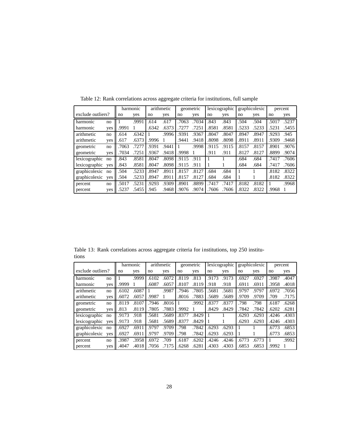|                   |     |       | harmonic |       | arithmetic |       | geometric |       | lexicographic |       | graphicolexic | percent |       |
|-------------------|-----|-------|----------|-------|------------|-------|-----------|-------|---------------|-------|---------------|---------|-------|
| exclude outliers? |     | no    | yes      | no    | yes        | no    | yes       | no    | yes           | no    | yes           | no      | yes   |
| harmonic          | no  |       | .9991    | .614  | .617       | .7063 | .7034     | .843  | .843          | .504  | .504          | .5017   | .5237 |
| harmonic          | yes | .9991 |          | .6342 | .6373      | .7277 | .7251     | .8581 | .8581         | .5233 | .5233         | .5231   | .5455 |
| arithmetic        | no  | .614  | .6342    |       | .9996      | .9391 | .9367     | .8047 | .8047         | .8947 | .8947         | .9293   | .945  |
| arithmetic        | yes | .617  | .6373    | .9996 |            | .9441 | .9418     | .8098 | .8098         | .8911 | .8911         | .9309   | .9468 |
| geometric         | no  | .7063 | .7277    | .9391 | .9441      |       | .9998     | .9115 | .9115         | .8157 | .8157         | .8901   | .9076 |
| geometric         | yes | .7034 | .7251    | .9367 | .9418      | .9998 |           | .911  | .911          | .8127 | .8127         | .8899   | .9074 |
| lexicographic     | no  | .843  | .8581    | .8047 | .8098      | .9115 | .911      |       |               | .684  | .684          | .7417   | .7606 |
| lexicographic     | yes | .843  | .8581    | .8047 | .8098      | .9115 | .911      |       |               | .684  | .684          | .7417   | .7606 |
| graphicolexic     | no  | .504  | .5233    | .8947 | .8911      | .8157 | .8127     | .684  | .684          |       |               | .8182   | .8322 |
| graphicolexic     | yes | .504  | .5233    | .8947 | .8911      | .8157 | .8127     | .684  | .684          | 1     |               | .8182   | .8322 |
| percent           | no  | .5017 | .5231    | .9293 | .9309      | .8901 | .8899     | .7417 | .7417         | .8182 | .8182         |         | .9968 |
| percent           | yes | .5237 | .5455    | .945  | .9468      | .9076 | .9074     | .7606 | .7606         | .8322 | .8322         | .9968   |       |

Table 12: Rank correlations across aggregate criteria for institutions, full sample

Table 13: Rank correlations across aggregate criteria for institutions, top 250 institutions

|                   |     | harmonic |       | arithmetic |       | geometric |       | lexicographic |       | graphicolexic |       | percent |       |
|-------------------|-----|----------|-------|------------|-------|-----------|-------|---------------|-------|---------------|-------|---------|-------|
| exclude outliers? |     | no       | yes   | no         | yes   | no        | yes   | no            | yes   | no            | yes   | no      | yes   |
| harmonic          | no  |          | .9999 | .6102      | .6072 | .8119     | .813  | .9173         | .9173 | .6927         | .6927 | .3987   | .4047 |
| harmonic          | yes | .9999    |       | .6087      | .6057 | .8107     | .8119 | .918          | .918  | .6911         | .6911 | .3958   | .4018 |
| arithmetic        | no  | .6102    | .6087 |            | .9987 | .7946     | .7805 | .5681         | .5681 | .9797         | .9797 | .6972   | .7056 |
| arithmetic        | yes | .6072    | .6057 | .9987      |       | .8016     | .7883 | .5689         | .5689 | .9709         | .9709 | .709    | .7175 |
| geometric         | no  | .8119    | .8107 | .7946      | .8016 |           | .9992 | .8377         | .8377 | .798          | .798  | .6187   | .6268 |
| geometric         | yes | .813     | .8119 | .7805      | .7883 | .9992     |       | .8429         | .8429 | .7842         | .7842 | .6202   | .6281 |
| lexicographic     | no  | .9173    | .918  | .5681      | .5689 | .8377     | .8429 |               |       | .6293         | .6293 | .4246   | .4303 |
| lexicographic     | ves | .9173    | .918  | .5681      | .5689 | .8377     | .8429 |               |       | .6293         | .6293 | .4246   | .4303 |
| graphicolexic     | no  | .6927    | .6911 | .9797      | .9709 | .798      | .7842 | .6293         | .6293 | 1             |       | .6773   | .6853 |
| graphicolexic     | ves | .6927    | .6911 | .9797      | .9709 | .798      | .7842 | .6293         | .6293 | 1             |       | .6773   | .6853 |
| percent           | no  | .3987    | .3958 | .6972      | .709  | .6187     | .6202 | .4246         | .4246 | .6773         | .6773 |         | .9992 |
| percent           | yes | .4047    | .4018 | .7056      | .7175 | .6268     | .6281 | .4303         | .4303 | .6853         | .6853 | .9992   |       |